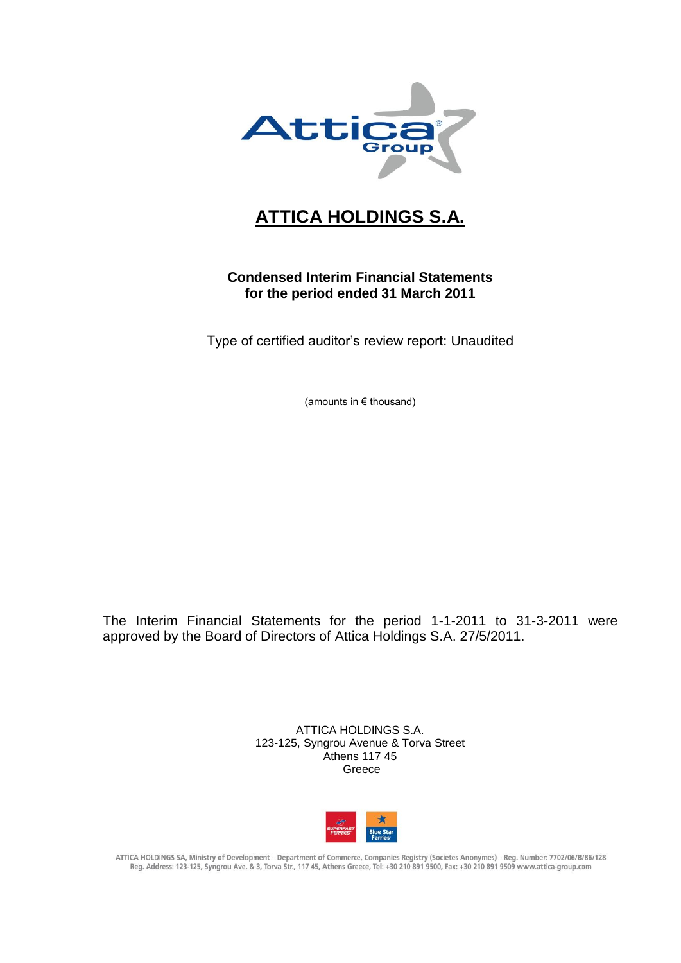

# **ATTICA HOLDINGS S.A.**

# **Condensed Interim Financial Statements for the period ended 31 March 2011**

Type of certified auditor's review report: Unaudited

(amounts in € thousand)

The Interim Financial Statements for the period 1-1-2011 to 31-3-2011 were approved by the Board of Directors of Attica Holdings S.A. 27/5/2011.

> ATTICA HOLDINGS S.A. 123-125, Syngrou Avenue & Torva Street Athens 117 45 Greece



ATTICA HOLDINGS SA, Ministry of Development - Department of Commerce, Companies Registry (Societes Anonymes) - Reg. Number: 7702/06/B/86/128 Reg. Address: 123-125, Syngrou Ave. & 3, Torva Str., 117 45, Athens Greece, Tel: +30 210 891 9500, Fax: +30 210 891 9509 www.attica-group.com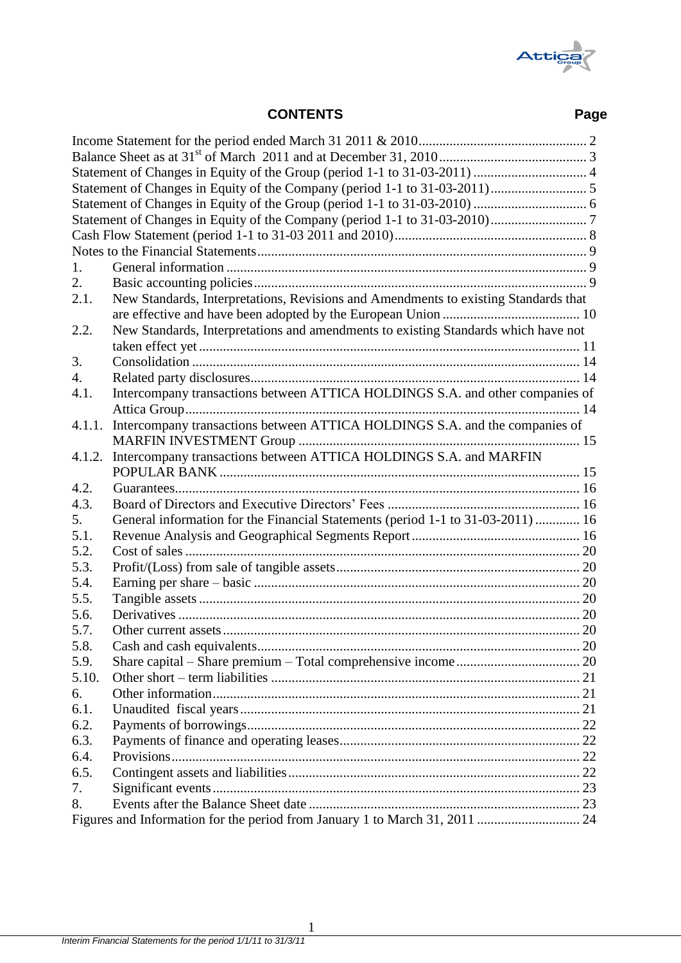

# **CONTENTS Page**

| 1.     |                                                                                     |  |
|--------|-------------------------------------------------------------------------------------|--|
| 2.     |                                                                                     |  |
| 2.1.   | New Standards, Interpretations, Revisions and Amendments to existing Standards that |  |
|        |                                                                                     |  |
| 2.2.   | New Standards, Interpretations and amendments to existing Standards which have not  |  |
|        |                                                                                     |  |
| 3.     |                                                                                     |  |
| 4.     |                                                                                     |  |
| 4.1.   | Intercompany transactions between ATTICA HOLDINGS S.A. and other companies of       |  |
|        |                                                                                     |  |
| 4.1.1. | Intercompany transactions between ATTICA HOLDINGS S.A. and the companies of         |  |
|        |                                                                                     |  |
| 4.1.2. | Intercompany transactions between ATTICA HOLDINGS S.A. and MARFIN                   |  |
|        |                                                                                     |  |
| 4.2.   |                                                                                     |  |
| 4.3.   |                                                                                     |  |
| 5.     | General information for the Financial Statements (period 1-1 to 31-03-2011)  16     |  |
| 5.1.   |                                                                                     |  |
| 5.2.   |                                                                                     |  |
| 5.3.   |                                                                                     |  |
| 5.4.   |                                                                                     |  |
| 5.5.   |                                                                                     |  |
| 5.6.   |                                                                                     |  |
| 5.7.   |                                                                                     |  |
| 5.8.   |                                                                                     |  |
| 5.9.   |                                                                                     |  |
| 5.10.  |                                                                                     |  |
| 6.     |                                                                                     |  |
| 6.1.   |                                                                                     |  |
| 6.2.   |                                                                                     |  |
| 6.3.   |                                                                                     |  |
| 6.4.   |                                                                                     |  |
| 6.5.   |                                                                                     |  |
| 7.     |                                                                                     |  |
| 8.     |                                                                                     |  |
|        | Figures and Information for the period from January 1 to March 31, 2011  24         |  |
|        |                                                                                     |  |

1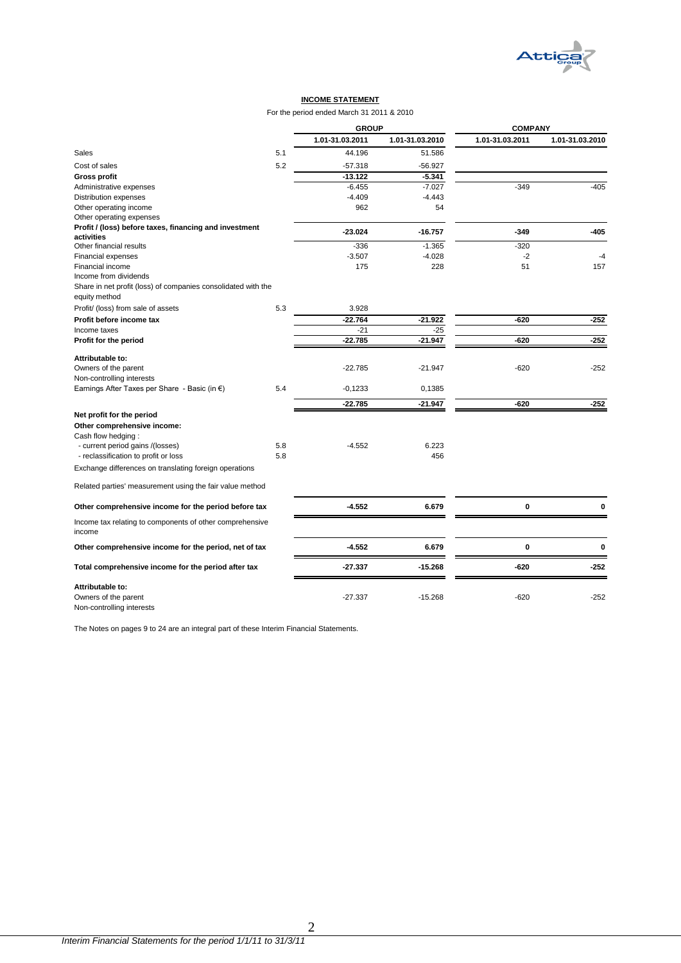

#### **INCOME STATEMENT**

For the period ended March 31 2011 & 2010

|                                                                    |     | <b>GROUP</b>    |                 | <b>COMPANY</b>  |                 |  |
|--------------------------------------------------------------------|-----|-----------------|-----------------|-----------------|-----------------|--|
|                                                                    |     | 1.01-31.03.2011 | 1.01-31.03.2010 | 1.01-31.03.2011 | 1.01-31.03.2010 |  |
| <b>Sales</b>                                                       | 5.1 | 44.196          | 51.586          |                 |                 |  |
| Cost of sales                                                      | 5.2 | $-57.318$       | $-56.927$       |                 |                 |  |
| <b>Gross profit</b>                                                |     | $-13.122$       | $-5.341$        |                 |                 |  |
| Administrative expenses                                            |     | $-6.455$        | $-7.027$        | $-349$          | $-405$          |  |
| Distribution expenses                                              |     | $-4.409$        | $-4.443$        |                 |                 |  |
| Other operating income                                             |     | 962             | 54              |                 |                 |  |
| Other operating expenses                                           |     |                 |                 |                 |                 |  |
| Profit / (loss) before taxes, financing and investment             |     |                 |                 |                 |                 |  |
| activities                                                         |     | $-23.024$       | $-16.757$       | $-349$          | -405            |  |
| Other financial results                                            |     | $-336$          | $-1.365$        | $-320$          |                 |  |
| Financial expenses                                                 |     | $-3.507$        | $-4.028$        | -2              | $-4$            |  |
| Financial income                                                   |     | 175             | 228             | 51              | 157             |  |
| Income from dividends                                              |     |                 |                 |                 |                 |  |
| Share in net profit (loss) of companies consolidated with the      |     |                 |                 |                 |                 |  |
| equity method                                                      |     |                 |                 |                 |                 |  |
| Profit/ (loss) from sale of assets                                 | 5.3 | 3.928           |                 |                 |                 |  |
| Profit before income tax                                           |     | $-22.764$       | $-21.922$       | $-620$          | $-252$          |  |
| Income taxes                                                       |     | $-21$           | $-25$           |                 |                 |  |
| Profit for the period                                              |     | $-22.785$       | $-21.947$       | $-620$          | $-252$          |  |
| Attributable to:                                                   |     |                 |                 |                 |                 |  |
| Owners of the parent                                               |     | $-22.785$       | $-21.947$       | $-620$          | $-252$          |  |
| Non-controlling interests                                          |     |                 |                 |                 |                 |  |
| Earnings After Taxes per Share - Basic (in €)                      | 5.4 | $-0,1233$       | 0,1385          |                 |                 |  |
|                                                                    |     |                 |                 |                 |                 |  |
|                                                                    |     | $-22.785$       | $-21.947$       | $-620$          | $-252$          |  |
| Net profit for the period                                          |     |                 |                 |                 |                 |  |
| Other comprehensive income:                                        |     |                 |                 |                 |                 |  |
| Cash flow hedging:                                                 |     |                 |                 |                 |                 |  |
| - current period gains /(losses)                                   | 5.8 | $-4.552$        | 6.223           |                 |                 |  |
| - reclassification to profit or loss                               | 5.8 |                 | 456             |                 |                 |  |
| Exchange differences on translating foreign operations             |     |                 |                 |                 |                 |  |
|                                                                    |     |                 |                 |                 |                 |  |
| Related parties' measurement using the fair value method           |     |                 |                 |                 |                 |  |
| Other comprehensive income for the period before tax               |     | $-4.552$        | 6.679           | 0               | $\bf{0}$        |  |
| Income tax relating to components of other comprehensive<br>income |     |                 |                 |                 |                 |  |
| Other comprehensive income for the period, net of tax              |     | $-4.552$        | 6.679           | 0               | 0               |  |
| Total comprehensive income for the period after tax                |     | $-27.337$       | $-15.268$       | $-620$          | $-252$          |  |
|                                                                    |     |                 |                 |                 |                 |  |
| Attributable to:                                                   |     |                 |                 |                 |                 |  |
| Owners of the parent<br>Non-controlling interests                  |     | $-27.337$       | $-15.268$       | $-620$          | $-252$          |  |

<span id="page-2-0"></span>The Notes on pages 9 to 24 are an integral part of these Interim Financial Statements.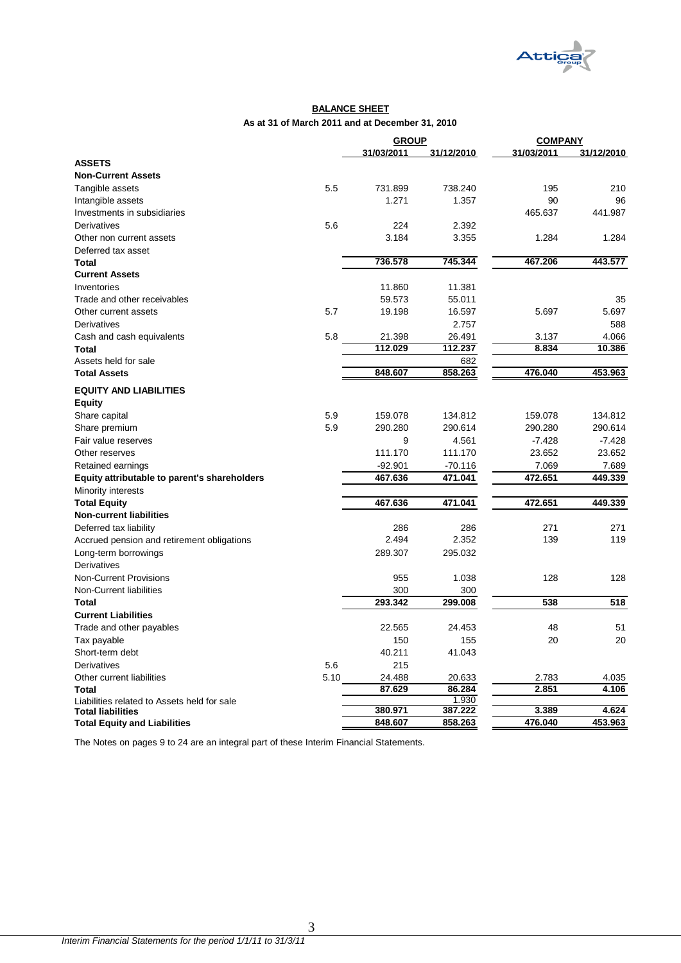

#### **BALANCE SHEET As at 31 of March 2011 and at December 31, 2010**

|                                              |      | <b>GROUP</b> |            | <b>COMPANY</b> |            |
|----------------------------------------------|------|--------------|------------|----------------|------------|
|                                              |      | 31/03/2011   | 31/12/2010 | 31/03/2011     | 31/12/2010 |
| <b>ASSETS</b>                                |      |              |            |                |            |
| <b>Non-Current Assets</b>                    |      |              |            |                |            |
| Tangible assets                              | 5.5  | 731.899      | 738.240    | 195            | 210        |
| Intangible assets                            |      | 1.271        | 1.357      | 90             | 96         |
| Investments in subsidiaries                  |      |              |            | 465.637        | 441.987    |
| Derivatives                                  | 5.6  | 224          | 2.392      |                |            |
| Other non current assets                     |      | 3.184        | 3.355      | 1.284          | 1.284      |
| Deferred tax asset                           |      |              |            |                |            |
| Total                                        |      | 736.578      | 745.344    | 467.206        | 443.577    |
| <b>Current Assets</b>                        |      |              |            |                |            |
| Inventories                                  |      | 11.860       | 11.381     |                |            |
| Trade and other receivables                  |      | 59.573       | 55.011     |                | 35         |
| Other current assets                         | 5.7  | 19.198       | 16.597     | 5.697          | 5.697      |
| Derivatives                                  |      |              | 2.757      |                | 588        |
| Cash and cash equivalents                    | 5.8  | 21.398       | 26.491     | 3.137          | 4.066      |
| <b>Total</b>                                 |      | 112.029      | 112.237    | 8.834          | 10.386     |
| Assets held for sale                         |      |              | 682        |                |            |
| <b>Total Assets</b>                          |      | 848.607      | 858.263    | 476.040        | 453.963    |
| <b>EQUITY AND LIABILITIES</b>                |      |              |            |                |            |
|                                              |      |              |            |                |            |
| <b>Equity</b>                                | 5.9  | 159.078      | 134.812    | 159.078        | 134.812    |
| Share capital                                |      |              |            |                | 290.614    |
| Share premium                                | 5.9  | 290.280      | 290.614    | 290.280        |            |
| Fair value reserves                          |      | 9            | 4.561      | $-7.428$       | $-7.428$   |
| Other reserves                               |      | 111.170      | 111.170    | 23.652         | 23.652     |
| Retained earnings                            |      | $-92.901$    | $-70.116$  | 7.069          | 7.689      |
| Equity attributable to parent's shareholders |      | 467.636      | 471.041    | 472.651        | 449.339    |
| Minority interests                           |      |              |            |                |            |
| <b>Total Equity</b>                          |      | 467.636      | 471.041    | 472.651        | 449.339    |
| <b>Non-current liabilities</b>               |      |              |            |                |            |
| Deferred tax liability                       |      | 286          | 286        | 271            | 271        |
| Accrued pension and retirement obligations   |      | 2.494        | 2.352      | 139            | 119        |
| Long-term borrowings                         |      | 289.307      | 295.032    |                |            |
| <b>Derivatives</b>                           |      |              |            |                |            |
| <b>Non-Current Provisions</b>                |      | 955          | 1.038      | 128            | 128        |
| Non-Current liabilities                      |      | 300          | 300        |                |            |
| <b>Total</b>                                 |      | 293.342      | 299.008    | 538            | 518        |
| <b>Current Liabilities</b>                   |      |              |            |                |            |
| Trade and other payables                     |      | 22.565       | 24.453     | 48             | 51         |
| Tax payable                                  |      | 150          | 155        | 20             | 20         |
| Short-term debt                              |      | 40.211       | 41.043     |                |            |
| Derivatives                                  | 5.6  | 215          |            |                |            |
| Other current liabilities                    | 5.10 | 24.488       | 20.633     | 2.783          | 4.035      |
| Total                                        |      | 87.629       | 86.284     | 2.851          | 4.106      |
| Liabilities related to Assets held for sale  |      |              | 1.930      |                |            |
| <b>Total liabilities</b>                     |      | 380.971      | 387.222    | 3.389          | 4.624      |
| <b>Total Equity and Liabilities</b>          |      | 848.607      | 858.263    | 476.040        | 453.963    |

<span id="page-3-0"></span>The Notes on pages 9 to 24 are an integral part of these Interim Financial Statements.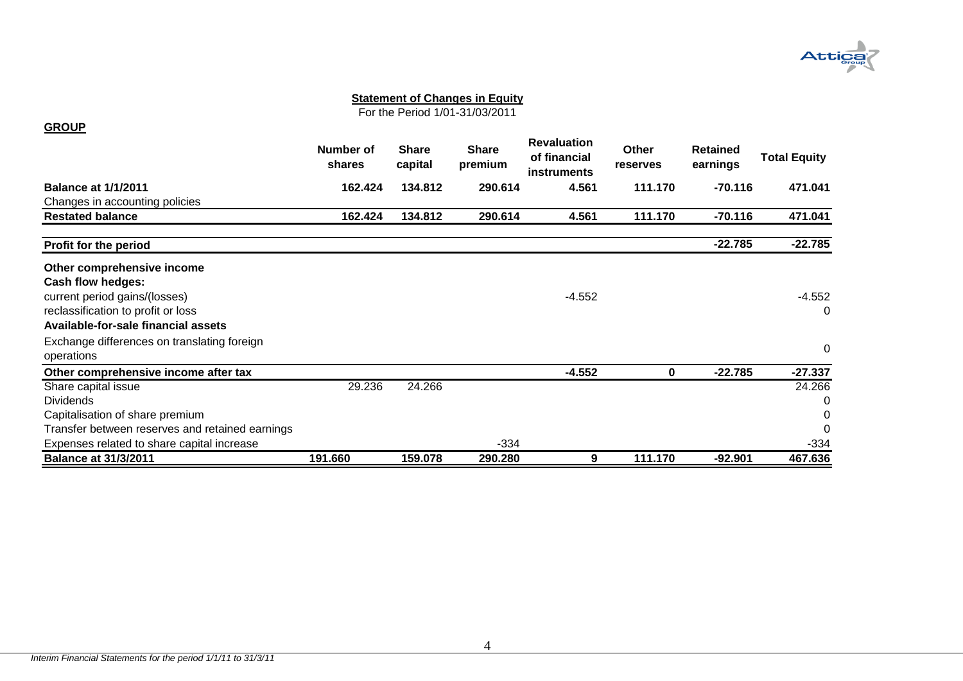

For the Period 1/01-31/03/2011

### **GROUP**

<span id="page-4-0"></span>

|                                                 | Number of<br>shares | <b>Share</b><br>capital | Share<br>premium | <b>Revaluation</b><br>of financial<br><b>instruments</b> | Other<br>reserves | <b>Retained</b><br>earnings | <b>Total Equity</b> |
|-------------------------------------------------|---------------------|-------------------------|------------------|----------------------------------------------------------|-------------------|-----------------------------|---------------------|
| <b>Balance at 1/1/2011</b>                      | 162.424             | 134.812                 | 290.614          | 4.561                                                    | 111.170           | $-70.116$                   | 471.041             |
| Changes in accounting policies                  |                     |                         |                  |                                                          |                   |                             |                     |
| <b>Restated balance</b>                         | 162.424             | 134.812                 | 290.614          | 4.561                                                    | 111.170           | $-70.116$                   | 471.041             |
| Profit for the period                           |                     |                         |                  |                                                          |                   | $-22.785$                   | $-22.785$           |
| Other comprehensive income                      |                     |                         |                  |                                                          |                   |                             |                     |
| <b>Cash flow hedges:</b>                        |                     |                         |                  |                                                          |                   |                             |                     |
| current period gains/(losses)                   |                     |                         |                  | -4.552                                                   |                   |                             | $-4.552$            |
| reclassification to profit or loss              |                     |                         |                  |                                                          |                   |                             | 0                   |
| Available-for-sale financial assets             |                     |                         |                  |                                                          |                   |                             |                     |
| Exchange differences on translating foreign     |                     |                         |                  |                                                          |                   |                             |                     |
| operations                                      |                     |                         |                  |                                                          |                   |                             | 0                   |
| Other comprehensive income after tax            |                     |                         |                  | $-4.552$                                                 | 0                 | $-22.785$                   | $-27.337$           |
| Share capital issue                             | 29.236              | 24.266                  |                  |                                                          |                   |                             | 24.266              |
| <b>Dividends</b>                                |                     |                         |                  |                                                          |                   |                             | 0                   |
| Capitalisation of share premium                 |                     |                         |                  |                                                          |                   |                             | 0                   |
| Transfer between reserves and retained earnings |                     |                         |                  |                                                          |                   |                             | 0                   |
| Expenses related to share capital increase      |                     |                         | $-334$           |                                                          |                   |                             | $-334$              |
| <b>Balance at 31/3/2011</b>                     | 191.660             | 159.078                 | 290.280          | 9                                                        | 111.170           | $-92.901$                   | 467.636             |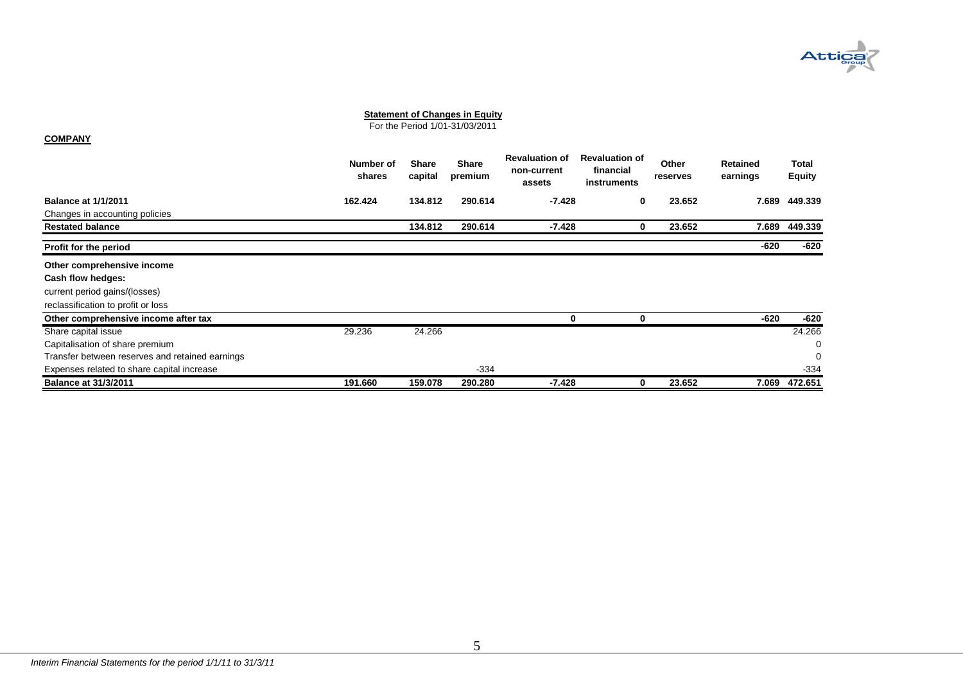

For the Period 1/01-31/03/2011

#### **COMPANY**

<span id="page-5-0"></span>

|                                                 | Number of<br>shares | <b>Share</b><br>capital | <b>Share</b><br>premium | <b>Revaluation of</b><br>non-current<br>assets | <b>Revaluation of</b><br>financial<br>instruments | Other<br>reserves | Retained<br>earnings | Total<br><b>Equity</b> |
|-------------------------------------------------|---------------------|-------------------------|-------------------------|------------------------------------------------|---------------------------------------------------|-------------------|----------------------|------------------------|
| <b>Balance at 1/1/2011</b>                      | 162.424             | 134.812                 | 290.614                 | $-7.428$                                       | 0                                                 | 23.652            | 7.689                | 449.339                |
| Changes in accounting policies                  |                     |                         |                         |                                                |                                                   |                   |                      |                        |
| <b>Restated balance</b>                         |                     | 134.812                 | 290.614                 | $-7.428$                                       | 0                                                 | 23.652            | 7.689                | 449.339                |
| Profit for the period                           |                     |                         |                         |                                                |                                                   |                   | $-620$               | -620                   |
| Other comprehensive income                      |                     |                         |                         |                                                |                                                   |                   |                      |                        |
| Cash flow hedges:                               |                     |                         |                         |                                                |                                                   |                   |                      |                        |
| current period gains/(losses)                   |                     |                         |                         |                                                |                                                   |                   |                      |                        |
| reclassification to profit or loss              |                     |                         |                         |                                                |                                                   |                   |                      |                        |
| Other comprehensive income after tax            |                     |                         |                         | 0                                              |                                                   |                   | $-620$               | -620                   |
| Share capital issue                             | 29.236              | 24.266                  |                         |                                                |                                                   |                   |                      | 24.266                 |
| Capitalisation of share premium                 |                     |                         |                         |                                                |                                                   |                   |                      | 0                      |
| Transfer between reserves and retained earnings |                     |                         |                         |                                                |                                                   |                   |                      | 0                      |
| Expenses related to share capital increase      |                     |                         | $-334$                  |                                                |                                                   |                   |                      | $-334$                 |
| <b>Balance at 31/3/2011</b>                     | 191.660             | 159.078                 | 290.280                 | $-7.428$                                       | ŋ                                                 | 23.652            | 7.069                | 472.651                |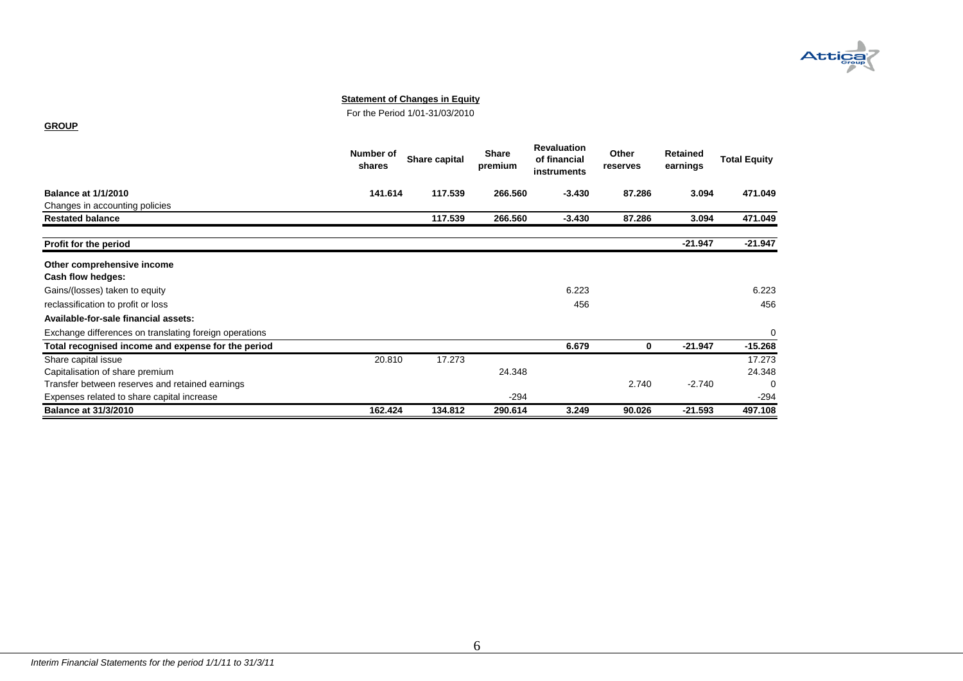

For the Period 1/01-31/03/2010

#### **GROUP**

<span id="page-6-0"></span>

|                                                        | Number of<br>shares | Share capital | <b>Share</b><br>premium | <b>Revaluation</b><br>of financial<br>instruments | Other<br>reserves | Retained<br>earnings | <b>Total Equity</b> |
|--------------------------------------------------------|---------------------|---------------|-------------------------|---------------------------------------------------|-------------------|----------------------|---------------------|
| <b>Balance at 1/1/2010</b>                             | 141.614             | 117.539       | 266.560                 | $-3.430$                                          | 87.286            | 3.094                | 471.049             |
| Changes in accounting policies                         |                     |               |                         |                                                   |                   |                      |                     |
| <b>Restated balance</b>                                |                     | 117.539       | 266.560                 | $-3.430$                                          | 87.286            | 3.094                | 471.049             |
| Profit for the period                                  |                     |               |                         |                                                   |                   | $-21.947$            | $-21.947$           |
| Other comprehensive income                             |                     |               |                         |                                                   |                   |                      |                     |
| Cash flow hedges:                                      |                     |               |                         |                                                   |                   |                      |                     |
| Gains/(losses) taken to equity                         |                     |               |                         | 6.223                                             |                   |                      | 6.223               |
| reclassification to profit or loss                     |                     |               |                         | 456                                               |                   |                      | 456                 |
| Available-for-sale financial assets:                   |                     |               |                         |                                                   |                   |                      |                     |
| Exchange differences on translating foreign operations |                     |               |                         |                                                   |                   |                      | 0                   |
| Total recognised income and expense for the period     |                     |               |                         | 6.679                                             | 0                 | $-21.947$            | $-15.268$           |
| Share capital issue                                    | 20.810              | 17.273        |                         |                                                   |                   |                      | 17.273              |
| Capitalisation of share premium                        |                     |               | 24.348                  |                                                   |                   |                      | 24.348              |
| Transfer between reserves and retained earnings        |                     |               |                         |                                                   | 2.740             | $-2.740$             | 0                   |
| Expenses related to share capital increase             |                     |               | $-294$                  |                                                   |                   |                      | $-294$              |
| <b>Balance at 31/3/2010</b>                            | 162.424             | 134.812       | 290.614                 | 3.249                                             | 90.026            | -21.593              | 497.108             |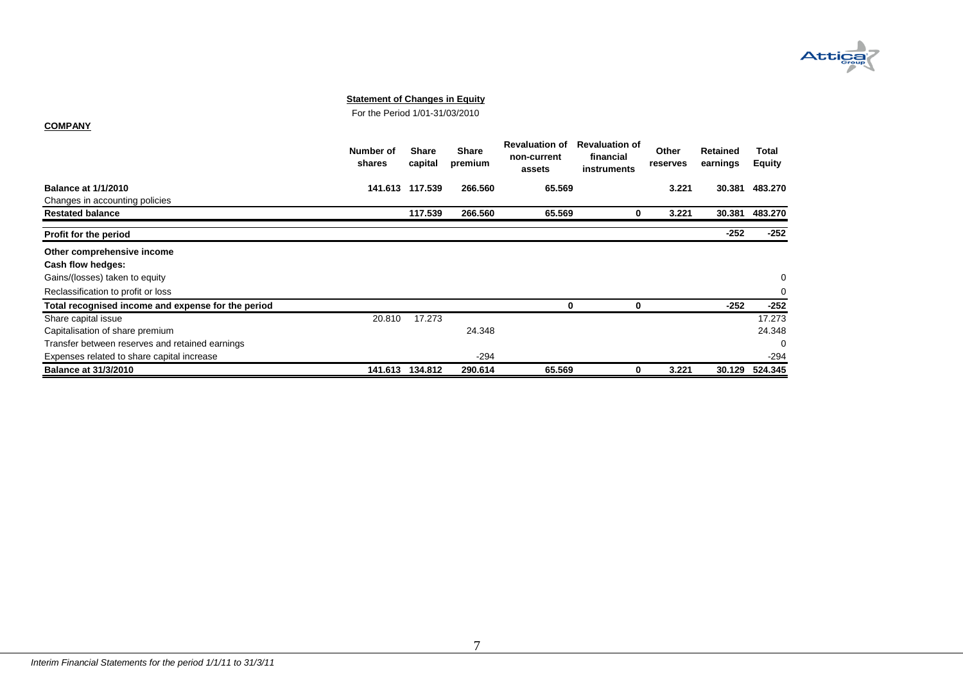

For the Period 1/01-31/03/2010

#### **COMPANY**

<span id="page-7-0"></span>

|                                                    | Number of<br>shares | <b>Share</b><br>capital | <b>Share</b><br>premium | <b>Revaluation of</b><br>non-current<br>assets | <b>Revaluation of</b><br>financial<br>instruments | <b>Other</b><br>reserves | Retained<br>earnings | Total<br><b>Equity</b> |
|----------------------------------------------------|---------------------|-------------------------|-------------------------|------------------------------------------------|---------------------------------------------------|--------------------------|----------------------|------------------------|
| <b>Balance at 1/1/2010</b>                         | 141.613             | 117.539                 | 266.560                 | 65.569                                         |                                                   | 3.221                    | 30.381               | 483.270                |
| Changes in accounting policies                     |                     |                         |                         |                                                |                                                   |                          |                      |                        |
| <b>Restated balance</b>                            |                     | 117.539                 | 266.560                 | 65.569                                         | 0                                                 | 3.221                    | 30.381               | 483.270                |
| Profit for the period                              |                     |                         |                         |                                                |                                                   |                          | $-252$               | $-252$                 |
| Other comprehensive income                         |                     |                         |                         |                                                |                                                   |                          |                      |                        |
| Cash flow hedges:                                  |                     |                         |                         |                                                |                                                   |                          |                      |                        |
| Gains/(losses) taken to equity                     |                     |                         |                         |                                                |                                                   |                          |                      | 0                      |
| Reclassification to profit or loss                 |                     |                         |                         |                                                |                                                   |                          |                      | 0                      |
| Total recognised income and expense for the period |                     |                         |                         | 0                                              | 0                                                 |                          | $-252$               | $-252$                 |
| Share capital issue                                | 20.810              | 17.273                  |                         |                                                |                                                   |                          |                      | 17.273                 |
| Capitalisation of share premium                    |                     |                         | 24.348                  |                                                |                                                   |                          |                      | 24.348                 |
| Transfer between reserves and retained earnings    |                     |                         |                         |                                                |                                                   |                          |                      | $\Omega$               |
| Expenses related to share capital increase         |                     |                         | $-294$                  |                                                |                                                   |                          |                      | $-294$                 |
| <b>Balance at 31/3/2010</b>                        | 141.613             | 134.812                 | 290.614                 | 65.569                                         | 0                                                 | 3.221                    | 30.129               | 524.345                |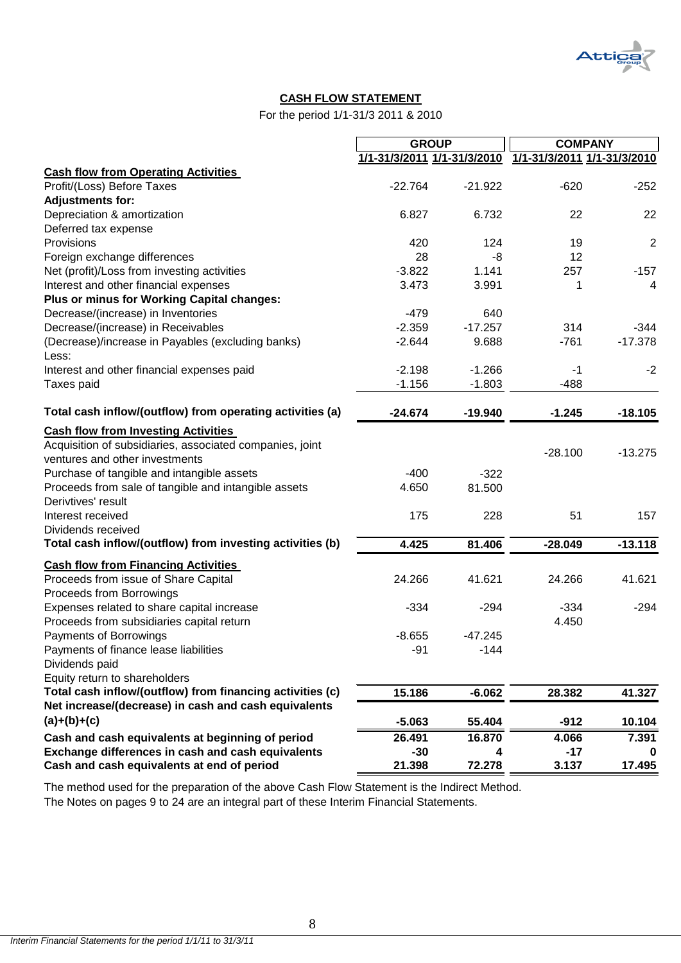

# **CASH FLOW STATEMENT**

For the period 1/1-31/3 2011 & 2010

|                                                                            | <b>GROUP</b>                |           | <b>COMPANY</b>              |                |  |
|----------------------------------------------------------------------------|-----------------------------|-----------|-----------------------------|----------------|--|
|                                                                            | 1/1-31/3/2011 1/1-31/3/2010 |           | 1/1-31/3/2011 1/1-31/3/2010 |                |  |
| <b>Cash flow from Operating Activities</b>                                 |                             |           |                             |                |  |
| Profit/(Loss) Before Taxes                                                 | $-22.764$                   | $-21.922$ | $-620$                      | $-252$         |  |
| <b>Adjustments for:</b>                                                    |                             |           |                             |                |  |
| Depreciation & amortization                                                | 6.827                       | 6.732     | 22                          | 22             |  |
| Deferred tax expense                                                       |                             |           |                             |                |  |
| Provisions                                                                 | 420                         | 124       | 19                          | $\overline{2}$ |  |
| Foreign exchange differences                                               | 28                          | -8        | 12                          |                |  |
| Net (profit)/Loss from investing activities                                | $-3.822$                    | 1.141     | 257                         | $-157$         |  |
| Interest and other financial expenses                                      | 3.473                       | 3.991     | 1                           | 4              |  |
| Plus or minus for Working Capital changes:                                 |                             |           |                             |                |  |
| Decrease/(increase) in Inventories                                         | $-479$                      | 640       |                             |                |  |
| Decrease/(increase) in Receivables                                         | $-2.359$                    | $-17.257$ | 314                         | $-344$         |  |
| (Decrease)/increase in Payables (excluding banks)                          | $-2.644$                    | 9.688     | $-761$                      | $-17.378$      |  |
| Less:                                                                      |                             |           |                             |                |  |
| Interest and other financial expenses paid                                 | $-2.198$                    | $-1.266$  | $-1$                        | $-2$           |  |
| Taxes paid                                                                 | $-1.156$                    | $-1.803$  | $-488$                      |                |  |
| Total cash inflow/(outflow) from operating activities (a)                  | $-24.674$                   | $-19.940$ | $-1.245$                    | $-18.105$      |  |
|                                                                            |                             |           |                             |                |  |
| <b>Cash flow from Investing Activities</b>                                 |                             |           |                             |                |  |
| Acquisition of subsidiaries, associated companies, joint                   |                             |           | $-28.100$                   | $-13.275$      |  |
| ventures and other investments                                             |                             |           |                             |                |  |
| Purchase of tangible and intangible assets                                 | $-400$                      | $-322$    |                             |                |  |
| Proceeds from sale of tangible and intangible assets<br>Derivtives' result | 4.650                       | 81.500    |                             |                |  |
| Interest received                                                          | 175                         | 228       | 51                          | 157            |  |
| Dividends received                                                         |                             |           |                             |                |  |
| Total cash inflow/(outflow) from investing activities (b)                  | 4.425                       | 81.406    | $-28.049$                   | $-13.118$      |  |
| <b>Cash flow from Financing Activities</b>                                 |                             |           |                             |                |  |
| Proceeds from issue of Share Capital                                       | 24.266                      | 41.621    | 24.266                      | 41.621         |  |
| Proceeds from Borrowings                                                   |                             |           |                             |                |  |
| Expenses related to share capital increase                                 | $-334$                      | $-294$    | $-334$                      | $-294$         |  |
| Proceeds from subsidiaries capital return                                  |                             |           | 4.450                       |                |  |
| Payments of Borrowings                                                     | $-8.655$                    | $-47.245$ |                             |                |  |
| Payments of finance lease liabilities                                      | $-91$                       | $-144$    |                             |                |  |
| Dividends paid                                                             |                             |           |                             |                |  |
| Equity return to shareholders                                              |                             |           |                             |                |  |
| Total cash inflow/(outflow) from financing activities (c)                  | 15.186                      | $-6.062$  | 28.382                      | 41.327         |  |
| Net increase/(decrease) in cash and cash equivalents                       |                             |           |                             |                |  |
| $(a)+(b)+(c)$                                                              | $-5.063$                    | 55.404    | $-912$                      | 10.104         |  |
| Cash and cash equivalents at beginning of period                           | 26.491                      | 16.870    | 4.066                       | 7.391          |  |
| Exchange differences in cash and cash equivalents                          | $-30$                       | 4         | $-17$                       | 0              |  |
| Cash and cash equivalents at end of period                                 | 21.398                      | 72.278    | 3.137                       | 17.495         |  |

<span id="page-8-0"></span>The Notes on pages 9 to 24 are an integral part of these Interim Financial Statements. The method used for the preparation of the above Cash Flow Statement is the Indirect Method.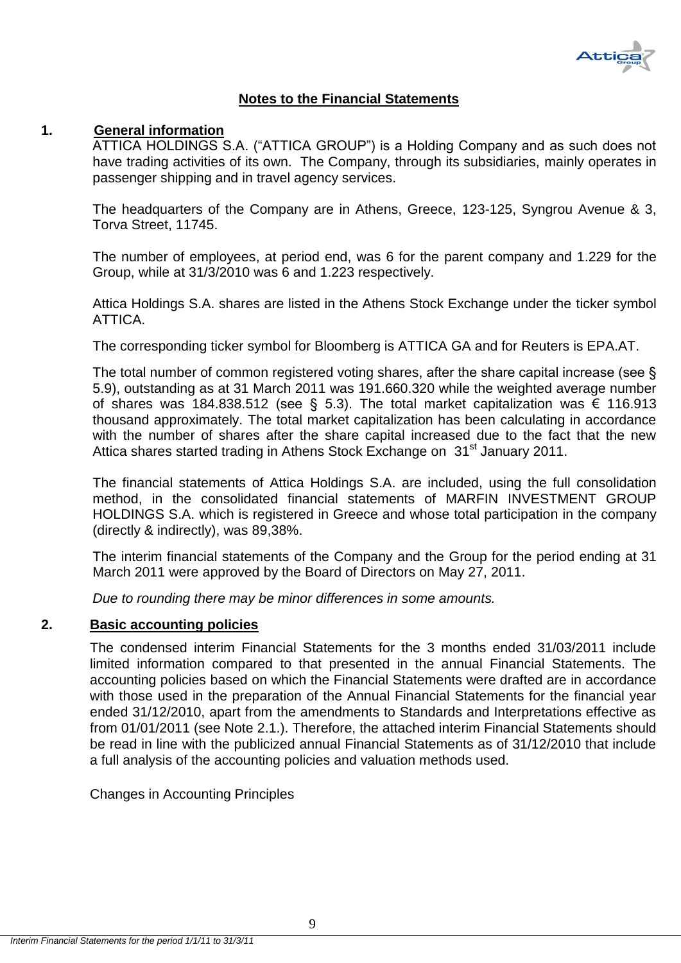

# **Notes to the Financial Statements**

# <span id="page-9-1"></span><span id="page-9-0"></span>**1. General information**

ATTICA HOLDINGS S.A. ("ATTICA GROUP") is a Holding Company and as such does not have trading activities of its own. The Company, through its subsidiaries, mainly operates in passenger shipping and in travel agency services.

The headquarters of the Company are in Athens, Greece, 123-125, Syngrou Avenue & 3, Torva Street, 11745.

The number of employees, at period end, was 6 for the parent company and 1.229 for the Group, while at 31/3/2010 was 6 and 1.223 respectively.

Attica Holdings S.A. shares are listed in the Athens Stock Exchange under the ticker symbol ATTICA.

The corresponding ticker symbol for Bloomberg is ATTICA GA and for Reuters is EPA.AT.

The total number of common registered voting shares, after the share capital increase (see § 5.9), outstanding as at 31 March 2011 was 191.660.320 while the weighted average number of shares was 184.838.512 (see § 5.3). The total market capitalization was € 116.913 thousand approximately. The total market capitalization has been calculating in accordance with the number of shares after the share capital increased due to the fact that the new Attica shares started trading in Athens Stock Exchange on 31<sup>st</sup> January 2011.

The financial statements of Attica Holdings S.A. are included, using the full consolidation method, in the consolidated financial statements of MARFIN INVESTMENT GROUP HOLDINGS S.A. which is registered in Greece and whose total participation in the company (directly & indirectly), was 89,38%.

The interim financial statements of the Company and the Group for the period ending at 31 March 2011 were approved by the Board of Directors on May 27, 2011.

*Due to rounding there may be minor differences in some amounts.*

# <span id="page-9-2"></span>**2. Basic accounting policies**

The condensed interim Financial Statements for the 3 months ended 31/03/2011 include limited information compared to that presented in the annual Financial Statements. The accounting policies based on which the Financial Statements were drafted are in accordance with those used in the preparation of the Annual Financial Statements for the financial year ended 31/12/2010, apart from the amendments to Standards and Interpretations effective as from 01/01/2011 (see Note 2.1.). Therefore, the attached interim Financial Statements should be read in line with the publicized annual Financial Statements as of 31/12/2010 that include a full analysis of the accounting policies and valuation methods used.

Changes in Accounting Principles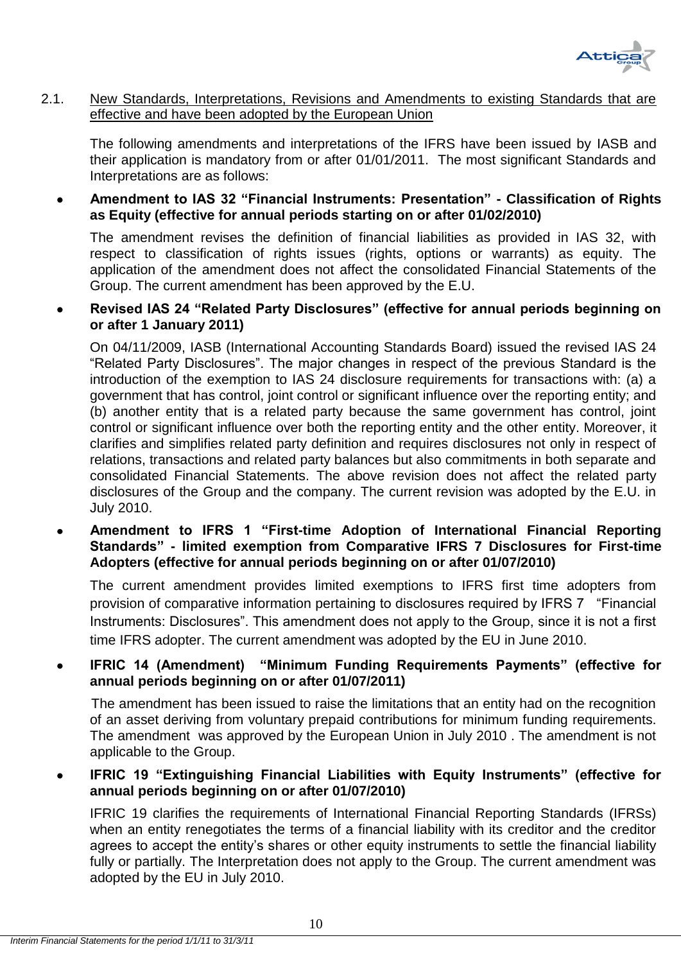

# <span id="page-10-0"></span>2.1. New Standards, Interpretations, Revisions and Amendments to existing Standards that are effective and have been adopted by the European Union

The following amendments and interpretations of the IFRS have been issued by IASB and their application is mandatory from or after 01/01/2011. The most significant Standards and Interpretations are as follows:

 **Amendment to IAS 32 "Financial Instruments: Presentation" - Classification of Rights as Equity (effective for annual periods starting on or after 01/02/2010)** 

The amendment revises the definition of financial liabilities as provided in IAS 32, with respect to classification of rights issues (rights, options or warrants) as equity. The application of the amendment does not affect the consolidated Financial Statements of the Group. The current amendment has been approved by the E.U.

# **Revised IAS 24 "Related Party Disclosures" (effective for annual periods beginning on or after 1 January 2011)**

On 04/11/2009, IASB (International Accounting Standards Board) issued the revised IAS 24 "Related Party Disclosures". The major changes in respect of the previous Standard is the introduction of the exemption to IAS 24 disclosure requirements for transactions with: (a) a government that has control, joint control or significant influence over the reporting entity; and (b) another entity that is a related party because the same government has control, joint control or significant influence over both the reporting entity and the other entity. Moreover, it clarifies and simplifies related party definition and requires disclosures not only in respect of relations, transactions and related party balances but also commitments in both separate and consolidated Financial Statements. The above revision does not affect the related party disclosures of the Group and the company. The current revision was adopted by the E.U. in July 2010.

 **Amendment to IFRS 1 "First-time Adoption of International Financial Reporting Standards" - limited exemption from Comparative IFRS 7 Disclosures for First-time Adopters (effective for annual periods beginning on or after 01/07/2010)** 

The current amendment provides limited exemptions to IFRS first time adopters from provision of comparative information pertaining to disclosures required by IFRS 7 "Financial Instruments: Disclosures". This amendment does not apply to the Group, since it is not a first time IFRS adopter. The current amendment was adopted by the EU in June 2010.

# **IFRIC 14 (Amendment) "Minimum Funding Requirements Payments" (effective for annual periods beginning on or after 01/07/2011)**

 The amendment has been issued to raise the limitations that an entity had on the recognition of an asset deriving from voluntary prepaid contributions for minimum funding requirements. The amendment was approved by the European Union in July 2010 . The amendment is not applicable to the Group.

# **IFRIC 19 "Extinguishing Financial Liabilities with Equity Instruments" (effective for annual periods beginning on or after 01/07/2010)**

IFRIC 19 clarifies the requirements of International Financial Reporting Standards (IFRSs) when an entity renegotiates the terms of a financial liability with its creditor and the creditor agrees to accept the entity's shares or other equity instruments to settle the financial liability fully or partially. The Interpretation does not apply to the Group. The current amendment was adopted by the EU in July 2010.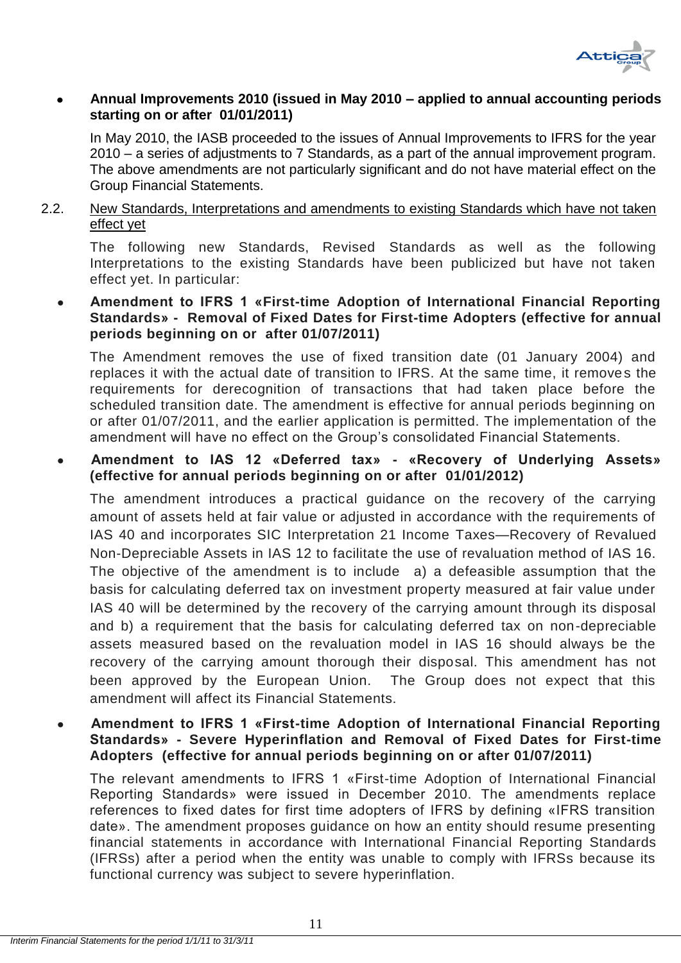

# **Annual Improvements 2010 (issued in May 2010 – applied to annual accounting periods starting on or after 01/01/2011)**

In May 2010, the IASB proceeded to the issues of Annual Improvements to IFRS for the year 2010 – a series of adjustments to 7 Standards, as a part of the annual improvement program. The above amendments are not particularly significant and do not have material effect on the Group Financial Statements.

# <span id="page-11-0"></span>2.2. New Standards, Interpretations and amendments to existing Standards which have not taken effect yet

The following new Standards, Revised Standards as well as the following Interpretations to the existing Standards have been publicized but have not taken effect yet. In particular:

# **Amendment to IFRS 1 «First-time Adoption of International Financial Reporting Standards» - Removal of Fixed Dates for First-time Adopters (effective for annual periods beginning on or after 01/07/2011)**

The Amendment removes the use of fixed transition date (01 January 2004) and replaces it with the actual date of transition to IFRS. At the same time, it removes the requirements for derecognition of transactions that had taken place before the scheduled transition date. The amendment is effective for annual periods beginning on or after 01/07/2011, and the earlier application is permitted. The implementation of the amendment will have no effect on the Group's consolidated Financial Statements.

# **Amendment to IAS 12 «Deferred tax» - «Recovery of Underlying Assets» (effective for annual periods beginning on or after 01/01/2012)**

The amendment introduces a practical guidance on the recovery of the carrying amount of assets held at fair value or adjusted in accordance with the requirements of IAS 40 and incorporates SIC Interpretation 21 Income Taxes—Recovery of Revalued Non-Depreciable Assets in IAS 12 to facilitate the use of revaluation method of IAS 16. The objective of the amendment is to include a) a defeasible assumption that the basis for calculating deferred tax on investment property measured at fair value under IAS 40 will be determined by the recovery of the carrying amount through its disposal and b) a requirement that the basis for calculating deferred tax on non-depreciable assets measured based on the revaluation model in IAS 16 should always be the recovery of the carrying amount thorough their disposal. This amendment has not been approved by the European Union. The Group does not expect that this amendment will affect its Financial Statements.

# **Amendment to IFRS 1 «First-time Adoption of International Financial Reporting Standards» - Severe Hyperinflation and Removal of Fixed Dates for First-time Adopters (effective for annual periods beginning on or after 01/07/2011)**

The relevant amendments to IFRS 1 «First-time Adoption of International Financial Reporting Standards» were issued in December 2010. The amendments replace references to fixed dates for first time adopters of IFRS by defining «IFRS transition date». The amendment proposes guidance on how an entity should resume presenting financial statements in accordance with International Financial Reporting Standards (IFRSs) after a period when the entity was unable to comply with IFRSs because its functional currency was subject to severe hyperinflation.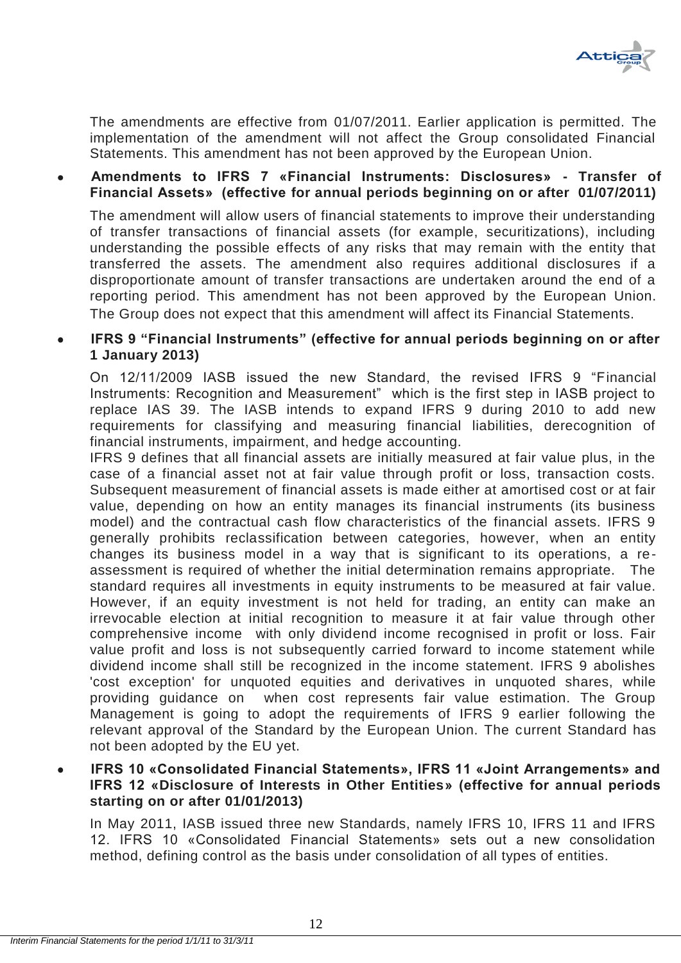

The amendments are effective from 01/07/2011. Earlier application is permitted. The implementation of the amendment will not affect the Group consolidated Financial Statements. This amendment has not been approved by the European Union.

# **Amendments to IFRS 7 «Financial Instruments: Disclosures» - Transfer of Financial Assets» (effective for annual periods beginning on or after 01/07/2011)**

The amendment will allow users of financial statements to improve their understanding of transfer transactions of financial assets (for example, securitizations), including understanding the possible effects of any risks that may remain with the entity that transferred the assets. The amendment also requires additional disclosures if a disproportionate amount of transfer transactions are undertaken around the end of a reporting period. This amendment has not been approved by the European Union. The Group does not expect that this amendment will affect its Financial Statements.

# **IFRS 9 "Financial Instruments" (effective for annual periods beginning on or after 1 January 2013)**

On 12/11/2009 IASB issued the new Standard, the revised IFRS 9 "Financial Instruments: Recognition and Measurement" which is the first step in IASB project to replace IAS 39. The IASB intends to expand IFRS 9 during 2010 to add new requirements for classifying and measuring financial liabilities, derecognition of financial instruments, impairment, and hedge accounting.

IFRS 9 defines that all financial assets are initially measured at fair value plus, in the case of a financial asset not at fair value through profit or loss, transaction costs. Subsequent measurement of financial assets is made either at amortised cost or at fair value, depending on how an entity manages its financial instruments (its business model) and the contractual cash flow characteristics of the financial assets. IFRS 9 generally prohibits reclassification between categories, however, when an entity changes its business model in a way that is significant to its operations, a reassessment is required of whether the initial determination remains appropriate. The standard requires all investments in equity instruments to be measured at fair value. However, if an equity investment is not held for trading, an entity can make an irrevocable election at initial recognition to measure it at fair value through other comprehensive income with only dividend income recognised in profit or loss. Fair value profit and loss is not subsequently carried forward to income statement while dividend income shall still be recognized in the income statement. IFRS 9 abolishes 'cost exception' for unquoted equities and derivatives in unquoted shares, while providing guidance on when cost represents fair value estimation. The Group Management is going to adopt the requirements of IFRS 9 earlier following the relevant approval of the Standard by the European Union. The current Standard has not been adopted by the EU yet.

**IFRS 10 «Consolidated Financial Statements», IFRS 11 «Joint Arrangements» and IFRS 12 «Disclosure of Interests in Other Entities» (effective for annual periods starting on or after 01/01/2013)** 

In May 2011, IASB issued three new Standards, namely IFRS 10, IFRS 11 and IFRS 12. IFRS 10 «Consolidated Financial Statements» sets out a new consolidation method, defining control as the basis under consolidation of all types of entities.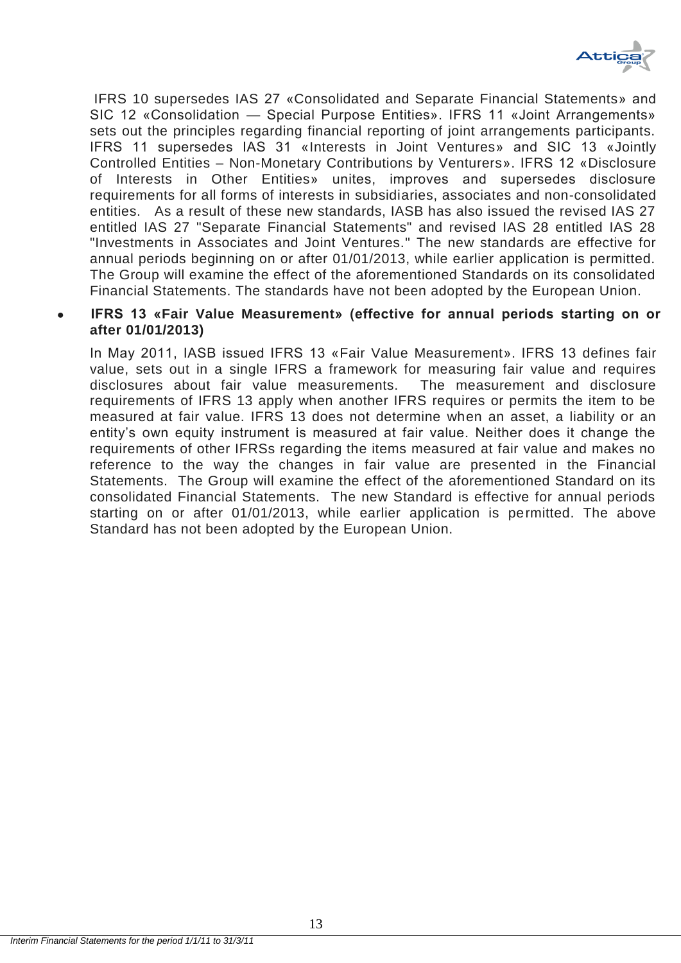

IFRS 10 supersedes IAS 27 «Consolidated and Separate Financial Statements» and SIC 12 «Consolidation — Special Purpose Entities». IFRS 11 «Joint Arrangements» sets out the principles regarding financial reporting of joint arrangements participants. IFRS 11 supersedes IAS 31 «Interests in Joint Ventures» and SIC 13 «Jointly Controlled Entities – Non-Monetary Contributions by Venturers». IFRS 12 «Disclosure of Interests in Other Entities» unites, improves and supersedes disclosure requirements for all forms of interests in subsidiaries, associates and non-consolidated entities. As a result of these new standards, IASB has also issued the revised IAS 27 entitled IAS 27 "Separate Financial Statements" and revised IAS 28 entitled IAS 28 "Investments in Associates and Joint Ventures." The new standards are effective for annual periods beginning on or after 01/01/2013, while earlier application is permitted. The Group will examine the effect of the aforementioned Standards on its consolidated Financial Statements. The standards have not been adopted by the European Union.

# **IFRS 13 «Fair Value Measurement» (effective for annual periods starting on or after 01/01/2013)**

In May 2011, IASB issued IFRS 13 «Fair Value Measurement». IFRS 13 defines fair value, sets out in a single IFRS a framework for measuring fair value and requires disclosures about fair value measurements. The measurement and disclosure requirements of IFRS 13 apply when another IFRS requires or permits the item to be measured at fair value. IFRS 13 does not determine when an asset, a liability or an entity's own equity instrument is measured at fair value. Neither does it change the requirements of other IFRSs regarding the items measured at fair value and makes no reference to the way the changes in fair value are presented in the Financial Statements. The Group will examine the effect of the aforementioned Standard on its consolidated Financial Statements. The new Standard is effective for annual periods starting on or after 01/01/2013, while earlier application is permitted. The above Standard has not been adopted by the European Union.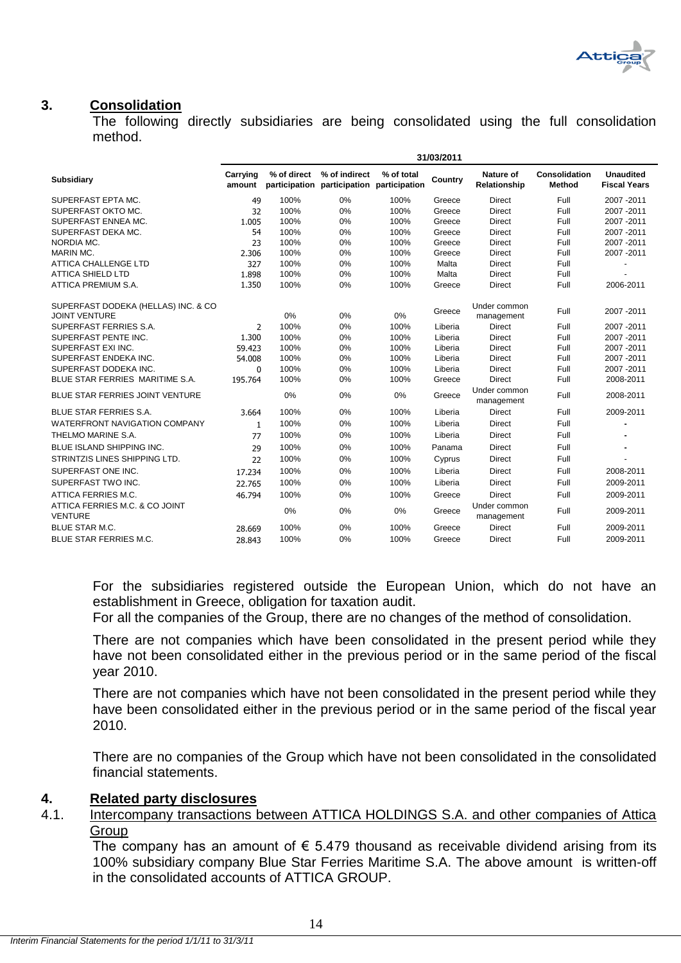

# <span id="page-14-0"></span>**3. Consolidation**

The following directly subsidiaries are being consolidated using the full consolidation method.

|                                                             | 31/03/2011         |                              |                                              |            |         |                                  |                                |                                         |
|-------------------------------------------------------------|--------------------|------------------------------|----------------------------------------------|------------|---------|----------------------------------|--------------------------------|-----------------------------------------|
| <b>Subsidiary</b>                                           | Carrying<br>amount | % of direct<br>participation | % of indirect<br>participation participation | % of total | Country | <b>Nature of</b><br>Relationship | <b>Consolidation</b><br>Method | <b>Unaudited</b><br><b>Fiscal Years</b> |
| SUPERFAST EPTA MC.                                          | 49                 | 100%                         | 0%                                           | 100%       | Greece  | <b>Direct</b>                    | Full                           | 2007-2011                               |
| SUPERFAST OKTO MC.                                          | 32                 | 100%                         | 0%                                           | 100%       | Greece  | <b>Direct</b>                    | Full                           | 2007-2011                               |
| SUPERFAST ENNEA MC.                                         | 1.005              | 100%                         | 0%                                           | 100%       | Greece  | <b>Direct</b>                    | Full                           | 2007-2011                               |
| SUPERFAST DEKA MC.                                          | 54                 | 100%                         | 0%                                           | 100%       | Greece  | <b>Direct</b>                    | Full                           | 2007-2011                               |
| NORDIA MC.                                                  | 23                 | 100%                         | 0%                                           | 100%       | Greece  | <b>Direct</b>                    | Full                           | 2007-2011                               |
| MARIN MC.                                                   | 2.306              | 100%                         | 0%                                           | 100%       | Greece  | <b>Direct</b>                    | Full                           | 2007-2011                               |
| <b>ATTICA CHALLENGE LTD</b>                                 | 327                | 100%                         | 0%                                           | 100%       | Malta   | <b>Direct</b>                    | Full                           |                                         |
| <b>ATTICA SHIELD LTD</b>                                    | 1.898              | 100%                         | 0%                                           | 100%       | Malta   | <b>Direct</b>                    | Full                           |                                         |
| ATTICA PREMIUM S.A.                                         | 1.350              | 100%                         | 0%                                           | 100%       | Greece  | <b>Direct</b>                    | Full                           | 2006-2011                               |
| SUPERFAST DODEKA (HELLAS) INC. & CO<br><b>JOINT VENTURE</b> |                    | 0%                           | 0%                                           | 0%         | Greece  | Under common<br>management       | Full                           | 2007 - 2011                             |
| SUPERFAST FERRIES S.A.                                      | 2                  | 100%                         | 0%                                           | 100%       | Liberia | <b>Direct</b>                    | Full                           | 2007-2011                               |
| SUPERFAST PENTE INC.                                        | 1.300              | 100%                         | 0%                                           | 100%       | Liberia | <b>Direct</b>                    | Full                           | 2007-2011                               |
| SUPERFAST EXI INC.                                          | 59.423             | 100%                         | 0%                                           | 100%       | Liberia | <b>Direct</b>                    | Full                           | 2007-2011                               |
| SUPERFAST ENDEKA INC.                                       | 54.008             | 100%                         | 0%                                           | 100%       | Liberia | <b>Direct</b>                    | Full                           | 2007-2011                               |
| SUPERFAST DODEKA INC.                                       | 0                  | 100%                         | 0%                                           | 100%       | Liberia | <b>Direct</b>                    | Full                           | 2007-2011                               |
| BLUE STAR FERRIES MARITIME S.A.                             | 195.764            | 100%                         | 0%                                           | 100%       | Greece  | <b>Direct</b>                    | Full                           | 2008-2011                               |
| BLUE STAR FERRIES JOINT VENTURE                             |                    | 0%                           | 0%                                           | 0%         | Greece  | Under common<br>management       | Full                           | 2008-2011                               |
| <b>BLUE STAR FERRIES S.A.</b>                               | 3.664              | 100%                         | 0%                                           | 100%       | Liberia | <b>Direct</b>                    | Full                           | 2009-2011                               |
| <b>WATERFRONT NAVIGATION COMPANY</b>                        | $\mathbf{1}$       | 100%                         | 0%                                           | 100%       | Liberia | <b>Direct</b>                    | Full                           |                                         |
| THELMO MARINE S.A.                                          | 77                 | 100%                         | 0%                                           | 100%       | Liberia | <b>Direct</b>                    | Full                           |                                         |
| <b>BLUE ISLAND SHIPPING INC.</b>                            | 29                 | 100%                         | 0%                                           | 100%       | Panama  | <b>Direct</b>                    | Full                           |                                         |
| STRINTZIS LINES SHIPPING LTD.                               | 22                 | 100%                         | 0%                                           | 100%       | Cyprus  | <b>Direct</b>                    | Full                           |                                         |
| SUPERFAST ONE INC.                                          | 17.234             | 100%                         | 0%                                           | 100%       | Liberia | <b>Direct</b>                    | Full                           | 2008-2011                               |
| SUPERFAST TWO INC.                                          | 22.765             | 100%                         | 0%                                           | 100%       | Liberia | <b>Direct</b>                    | Full                           | 2009-2011                               |
| ATTICA FERRIES M.C.                                         | 46.794             | 100%                         | 0%                                           | 100%       | Greece  | <b>Direct</b>                    | Full                           | 2009-2011                               |
| ATTICA FERRIES M.C. & CO JOINT<br><b>VENTURE</b>            |                    | 0%                           | 0%                                           | 0%         | Greece  | Under common<br>management       | Full                           | 2009-2011                               |
| BLUE STAR M.C.                                              | 28.669             | 100%                         | 0%                                           | 100%       | Greece  | <b>Direct</b>                    | Full                           | 2009-2011                               |
| <b>BLUE STAR FERRIES M.C.</b>                               | 28.843             | 100%                         | 0%                                           | 100%       | Greece  | <b>Direct</b>                    | Full                           | 2009-2011                               |

For the subsidiaries registered outside the European Union, which do not have an establishment in Greece, obligation for taxation audit.

For all the companies of the Group, there are no changes of the method of consolidation.

There are not companies which have been consolidated in the present period while they have not been consolidated either in the previous period or in the same period of the fiscal year 2010.

There are not companies which have not been consolidated in the present period while they have been consolidated either in the previous period or in the same period of the fiscal year 2010.

There are no companies of the Group which have not been consolidated in the consolidated financial statements.

# <span id="page-14-1"></span>**4. Related party disclosures**

<span id="page-14-2"></span>4.1. Intercompany transactions between ATTICA HOLDINGS S.A. and other companies of Attica **Group** 

The company has an amount of  $\epsilon$  5.479 thousand as receivable dividend arising from its 100% subsidiary company Blue Star Ferries Maritime S.A. The above amount is written-off in the consolidated accounts of ATTICA GROUP.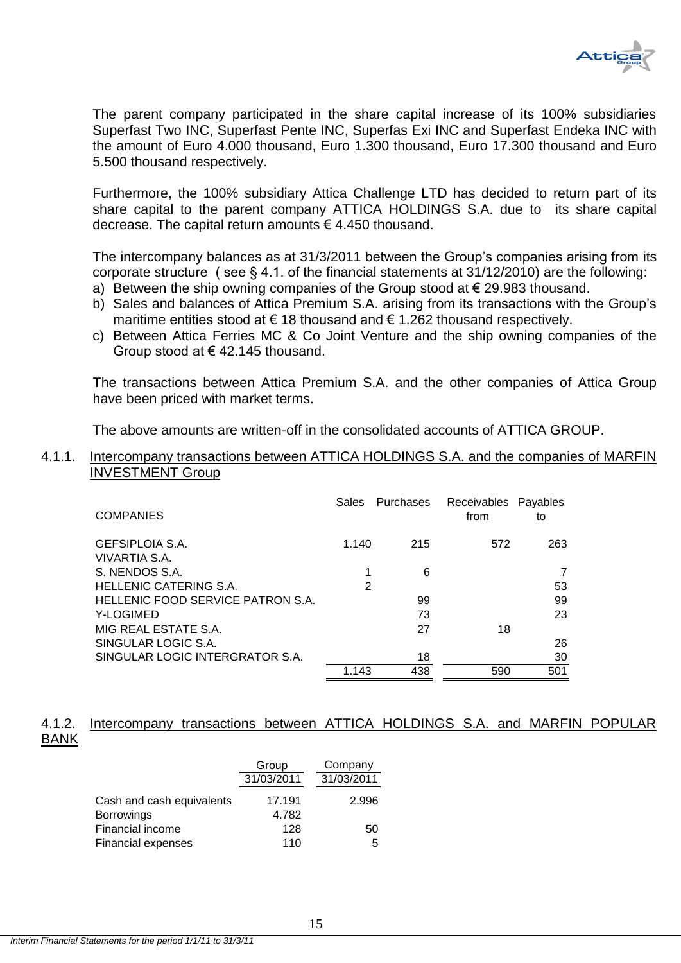

The parent company participated in the share capital increase of its 100% subsidiaries Superfast Two INC, Superfast Pente INC, Superfas Exi INC and Superfast Endeka INC with the amount of Euro 4.000 thousand, Euro 1.300 thousand, Euro 17.300 thousand and Euro 5.500 thousand respectively.

Furthermore, the 100% subsidiary Attica Challenge LTD has decided to return part of its share capital to the parent company ATTICA HOLDINGS S.A. due to its share capital decrease. The capital return amounts € 4.450 thousand.

The intercompany balances as at 31/3/2011 between the Group's companies arising from its corporate structure ( see § 4.1. of the financial statements at 31/12/2010) are the following:

- a) Between the ship owning companies of the Group stood at  $\epsilon$  29.983 thousand.
- b) Sales and balances of Attica Premium S.A. arising from its transactions with the Group's maritime entities stood at  $\epsilon$  18 thousand and  $\epsilon$  1.262 thousand respectively.
- c) Between Attica Ferries MC & Co Joint Venture and the ship owning companies of the Group stood at € 42.145 thousand.

The transactions between Attica Premium S.A. and the other companies of Attica Group have been priced with market terms.

The above amounts are written-off in the consolidated accounts of ATTICA GROUP.

## <span id="page-15-0"></span>4.1.1. Intercompany transactions between ATTICA HOLDINGS S.A. and the companies of MARFIN INVESTMENT Group

| <b>COMPANIES</b>                  | Sales | Purchases | Receivables Payables<br>from | to  |
|-----------------------------------|-------|-----------|------------------------------|-----|
| GEFSIPLOIA S.A.                   | 1.140 | 215       | 572                          | 263 |
| VIVARTIA S.A.                     |       |           |                              |     |
| S. NENDOS S.A.                    |       | 6         |                              |     |
| HELLENIC CATERING S.A.            | 2     |           |                              | 53  |
| HELLENIC FOOD SERVICE PATRON S.A. |       | 99        |                              | 99  |
| Y-LOGIMED                         |       | 73        |                              | 23  |
| MIG REAL ESTATE S.A.              |       | 27        | 18                           |     |
| SINGULAR LOGIC S.A.               |       |           |                              | 26  |
| SINGULAR LOGIC INTERGRATOR S.A.   |       | 18        |                              | 30  |
|                                   | 1.143 | 438       | 590                          | 501 |

# <span id="page-15-1"></span>4.1.2. Intercompany transactions between ATTICA HOLDINGS S.A. and MARFIN POPULAR BANK

|                           | Group      | Company    |
|---------------------------|------------|------------|
|                           | 31/03/2011 | 31/03/2011 |
| Cash and cash equivalents | 17.191     | 2.996      |
| <b>Borrowings</b>         | 4.782      |            |
| Financial income          | 128        | 50         |
| Financial expenses        | 110        | 5          |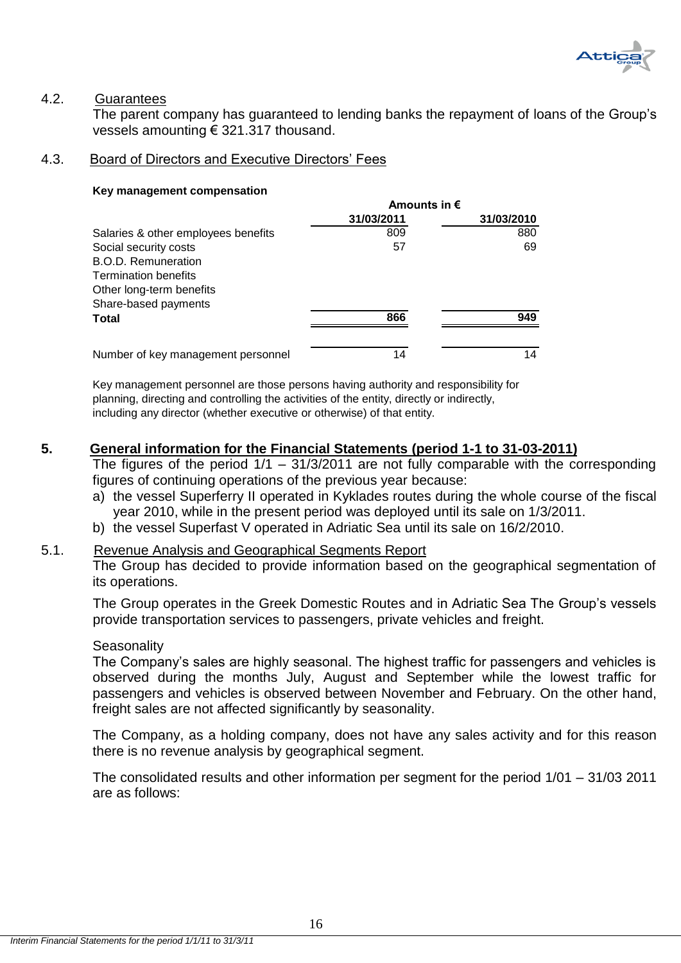

# <span id="page-16-0"></span>4.2. Guarantees

The parent company has guaranteed to lending banks the repayment of loans of the Group's vessels amounting € 321.317 thousand.

# <span id="page-16-1"></span>4.3. Board of Directors and Executive Directors' Fees

### **Key management compensation**

|                                     | Amounts in $\epsilon$ |            |  |  |
|-------------------------------------|-----------------------|------------|--|--|
|                                     | 31/03/2011            | 31/03/2010 |  |  |
| Salaries & other employees benefits | 809                   | 880        |  |  |
| Social security costs               | 57                    | 69         |  |  |
| <b>B.O.D. Remuneration</b>          |                       |            |  |  |
| <b>Termination benefits</b>         |                       |            |  |  |
| Other long-term benefits            |                       |            |  |  |
| Share-based payments                |                       |            |  |  |
| Total                               | 866                   | 949        |  |  |
| Number of key management personnel  | 14                    | 14         |  |  |

Key management personnel are those persons having authority and responsibility for planning, directing and controlling the activities of the entity, directly or indirectly, including any director (whether executive or otherwise) of that entity.

# <span id="page-16-2"></span>**5. General information for the Financial Statements (period 1-1 to 31-03-2011)**

The figures of the period  $1/1 - 31/3/2011$  are not fully comparable with the corresponding figures of continuing operations of the previous year because:

- a) the vessel Superferry II operated in Kyklades routes during the whole course of the fiscal year 2010, while in the present period was deployed until its sale on 1/3/2011.
- b) the vessel Superfast V operated in Adriatic Sea until its sale on 16/2/2010.

# <span id="page-16-3"></span>5.1. Revenue Analysis and Geographical Segments Report

The Group has decided to provide information based on the geographical segmentation of its operations.

The Group operates in the Greek Domestic Routes and in Adriatic Sea The Group's vessels provide transportation services to passengers, private vehicles and freight.

# **Seasonality**

The Company's sales are highly seasonal. The highest traffic for passengers and vehicles is observed during the months July, August and September while the lowest traffic for passengers and vehicles is observed between November and February. On the other hand, freight sales are not affected significantly by seasonality.

The Company, as a holding company, does not have any sales activity and for this reason there is no revenue analysis by geographical segment.

The consolidated results and other information per segment for the period 1/01 – 31/03 2011 are as follows: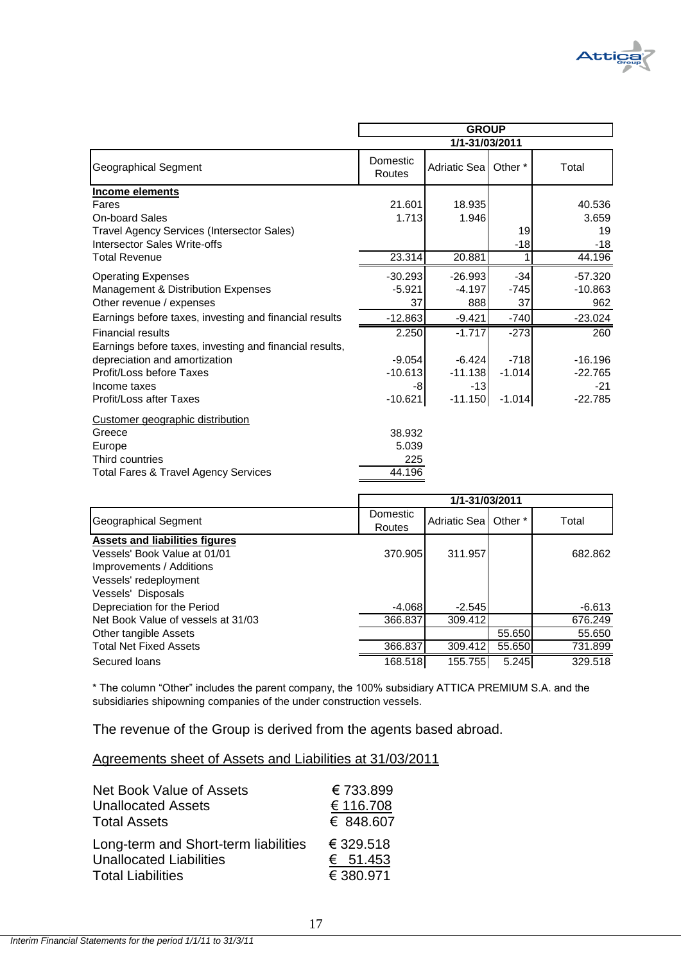

|                                                         | <b>GROUP</b>       |                |          |           |
|---------------------------------------------------------|--------------------|----------------|----------|-----------|
|                                                         |                    | 1/1-31/03/2011 |          |           |
| Geographical Segment                                    | Domestic<br>Routes | Adriatic Seal  | Other *  | Total     |
| Income elements                                         |                    |                |          |           |
| Fares                                                   | 21.601             | 18.935         |          | 40.536    |
| On-board Sales                                          | 1.713              | 1.946          |          | 3.659     |
| Travel Agency Services (Intersector Sales)              |                    |                | 19       | 19        |
| Intersector Sales Write-offs                            |                    |                | $-18$    | $-18$     |
| <b>Total Revenue</b>                                    | 23.314             | 20.881         |          | 44.196    |
| <b>Operating Expenses</b>                               | $-30.293$          | $-26.993$      | $-34$    | $-57.320$ |
| Management & Distribution Expenses                      | $-5.921$           | $-4.197$       | -745     | $-10.863$ |
| Other revenue / expenses                                | 37                 | 888            | 37       | 962       |
| Earnings before taxes, investing and financial results  | $-12.863$          | $-9.421$       | $-740$   | $-23.024$ |
| <b>Financial results</b>                                | 2.250              | $-1.717$       | $-273$   | 260       |
| Earnings before taxes, investing and financial results, |                    |                |          |           |
| depreciation and amortization                           | $-9.054$           | $-6.424$       | $-718$   | $-16.196$ |
| Profit/Loss before Taxes                                | $-10.613$          | $-11.138$      | $-1.014$ | $-22.765$ |
| Income taxes                                            | -8                 | $-13$          |          | $-21$     |
| Profit/Loss after Taxes                                 | $-10.621$          | $-11.150$      | $-1.014$ | $-22.785$ |
| Customer geographic distribution                        |                    |                |          |           |
| Greece                                                  | 38.932             |                |          |           |
| Europe                                                  | 5.039              |                |          |           |
| Third countries                                         | 225                |                |          |           |
| <b>Total Fares &amp; Travel Agency Services</b>         | 44.196             |                |          |           |

|                                                                       | 1/1-31/03/2011     |               |         |          |
|-----------------------------------------------------------------------|--------------------|---------------|---------|----------|
| Geographical Segment                                                  | Domestic<br>Routes | Adriatic Seal | Other * | Total    |
| <b>Assets and liabilities figures</b><br>Vessels' Book Value at 01/01 | 370.905            | 311.957       |         | 682.862  |
| Improvements / Additions                                              |                    |               |         |          |
| Vessels' redeployment<br>Vessels' Disposals                           |                    |               |         |          |
| Depreciation for the Period                                           | $-4.068$           | $-2.545$      |         | $-6.613$ |
| Net Book Value of vessels at 31/03                                    | 366.837            | 309.412       |         | 676.249  |
| Other tangible Assets                                                 |                    |               | 55.650  | 55.650   |
| <b>Total Net Fixed Assets</b>                                         | 366,837            | 309.412       | 55.650  | 731.899  |
| Secured loans                                                         | 168.518            | 155.755       | 5.245   | 329.518  |

\* The column "Other" includes the parent company, the 100% subsidiary ATTICA PREMIUM S.A. and the subsidiaries shipowning companies of the under construction vessels.

The revenue of the Group is derived from the agents based abroad.

# Agreements sheet of Assets and Liabilities at 31/03/2011

| <b>Net Book Value of Assets</b>      | €733.899  |
|--------------------------------------|-----------|
| <b>Unallocated Assets</b>            | € 116.708 |
| <b>Total Assets</b>                  | € 848,607 |
| Long-term and Short-term liabilities | € 329.518 |
| <b>Unallocated Liabilities</b>       | € 51.453  |
| <b>Total Liabilities</b>             | € 380.971 |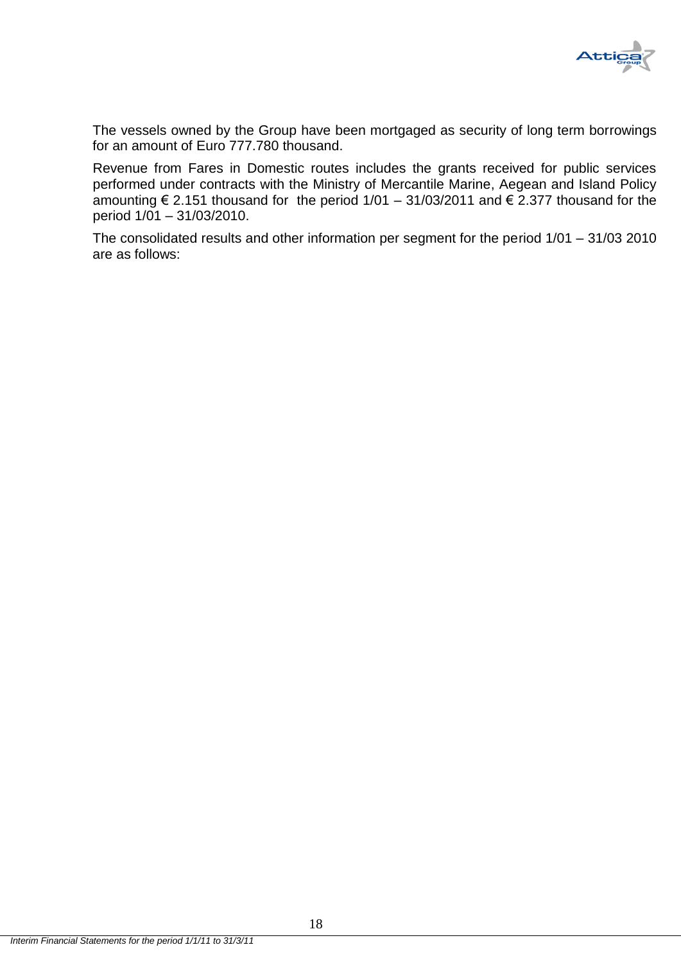

The vessels owned by the Group have been mortgaged as security of long term borrowings for an amount of Euro 777.780 thousand.

Revenue from Fares in Domestic routes includes the grants received for public services performed under contracts with the Ministry of Mercantile Marine, Aegean and Island Policy amounting  $\epsilon$  2.151 thousand for the period 1/01 – 31/03/2011 and  $\epsilon$  2.377 thousand for the period 1/01 – 31/03/2010.

The consolidated results and other information per segment for the period 1/01 – 31/03 2010 are as follows: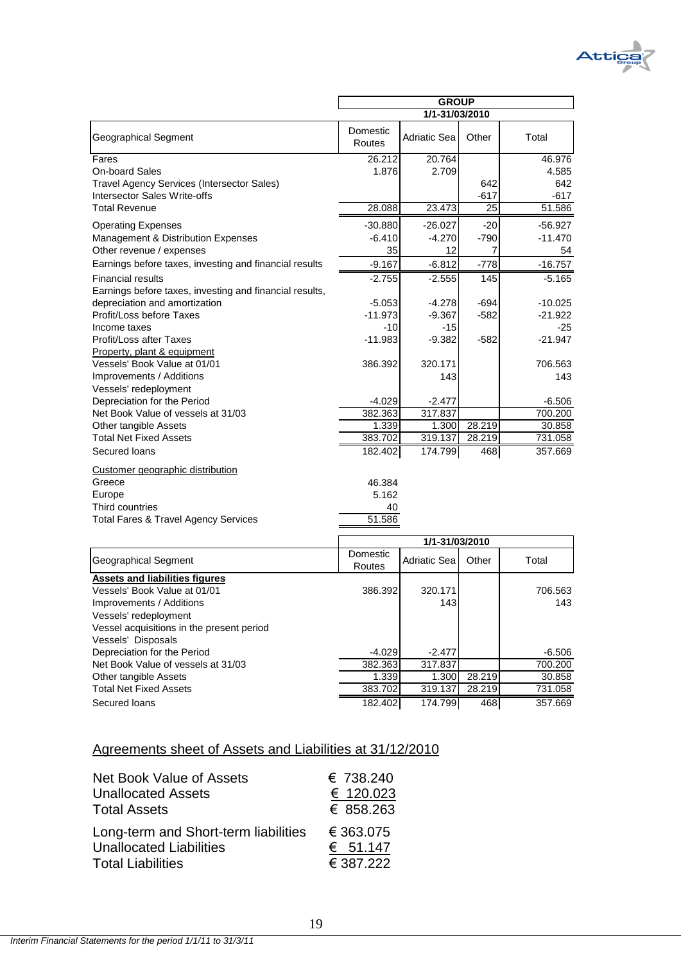

|                                           | 1/1-31/03/2010     |                     |        |         |
|-------------------------------------------|--------------------|---------------------|--------|---------|
| <b>Geographical Segment</b>               | Domestic<br>Routes | <b>Adriatic Sea</b> | Other  | Total   |
| <b>Assets and liabilities figures</b>     |                    |                     |        |         |
| Vessels' Book Value at 01/01              | 386.392            | 320.171             |        | 706.563 |
| Improvements / Additions                  |                    | 143                 |        | 143     |
| Vessels' redeployment                     |                    |                     |        |         |
| Vessel acquisitions in the present period |                    |                     |        |         |
| Vessels' Disposals                        |                    |                     |        |         |
| Depreciation for the Period               | -4.029             | $-2.477$            |        | -6.506  |
| Net Book Value of vessels at 31/03        | 382.363            | 317.837             |        | 700.200 |
| Other tangible Assets                     | 1.339              | 1.300               | 28.219 | 30.858  |
| <b>Total Net Fixed Assets</b>             | 383.702            | 319.137             | 28.219 | 731.058 |
| Secured loans                             | 182.402            | 174.799             | 468    | 357.669 |

#### Agreements sheet of Assets and Liabilities at 31/12/2010

| Net Book Value of Assets             | € 738.240  |
|--------------------------------------|------------|
| <b>Unallocated Assets</b>            | € 120.023  |
| <b>Total Assets</b>                  | € 858.263  |
| Long-term and Short-term liabilities | € 363.075  |
| <b>Unallocated Liabilities</b>       | € $51.147$ |
| <b>Total Liabilities</b>             | € 387.222  |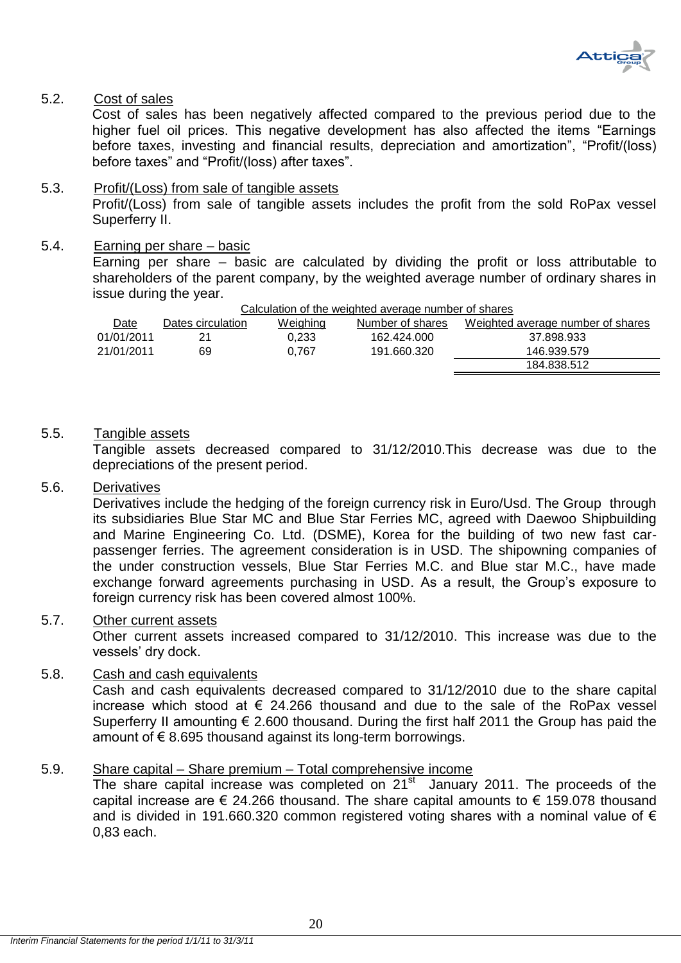

# <span id="page-20-0"></span>5.2. Cost of sales

Cost of sales has been negatively affected compared to the previous period due to the higher fuel oil prices. This negative development has also affected the items "Earnings" before taxes, investing and financial results, depreciation and amortization", "Profit/(loss) before taxes" and "Profit/(loss) after taxes".

# <span id="page-20-1"></span>5.3. Profit/(Loss) from sale of tangible assets Profit/(Loss) from sale of tangible assets includes the profit from the sold RoPax vessel Superferry II.

# <span id="page-20-2"></span>5.4. Earning per share – basic

Earning per share – basic are calculated by dividing the profit or loss attributable to shareholders of the parent company, by the weighted average number of ordinary shares in issue during the year.

| Calculation of the weighted average number of shares |                   |          |                  |                                   |
|------------------------------------------------------|-------------------|----------|------------------|-----------------------------------|
| Date                                                 | Dates circulation | Weighing | Number of shares | Weighted average number of shares |
| 01/01/2011                                           | 21                | 0.233    | 162.424.000      | 37.898.933                        |
| 21/01/2011                                           | 69                | 0.767    | 191.660.320      | 146.939.579                       |
|                                                      |                   |          |                  | 184.838.512                       |

# <span id="page-20-3"></span>5.5. Tangible assets

Tangible assets decreased compared to 31/12/2010.This decrease was due to the depreciations of the present period.

# <span id="page-20-4"></span>5.6. Derivatives

Derivatives include the hedging of the foreign currency risk in Euro/Usd. The Group through its subsidiaries Blue Star MC and Blue Star Ferries MC, agreed with Daewoo Shipbuilding and Marine Engineering Co. Ltd. (DSME), Korea for the building of two new fast carpassenger ferries. The agreement consideration is in USD. The shipowning companies of the under construction vessels, Blue Star Ferries M.C. and Blue star M.C., have made exchange forward agreements purchasing in USD. As a result, the Group's exposure to foreign currency risk has been covered almost 100%.

# <span id="page-20-5"></span>5.7. Other current assets

Other current assets increased compared to 31/12/2010. This increase was due to the vessels' dry dock.

# <span id="page-20-6"></span>5.8. Cash and cash equivalents

Cash and cash equivalents decreased compared to 31/12/2010 due to the share capital increase which stood at  $\epsilon$  24.266 thousand and due to the sale of the RoPax vessel Superferry II amounting  $\epsilon$  2.600 thousand. During the first half 2011 the Group has paid the amount of  $\epsilon$  8.695 thousand against its long-term borrowings.

# <span id="page-20-7"></span>5.9. Share capital – Share premium – Total comprehensive income

The share capital increase was completed on  $21<sup>st</sup>$  January 2011. The proceeds of the capital increase are  $\epsilon$  24.266 thousand. The share capital amounts to  $\epsilon$  159.078 thousand and is divided in 191.660.320 common registered voting shares with a nominal value of  $\epsilon$ 0,83 each.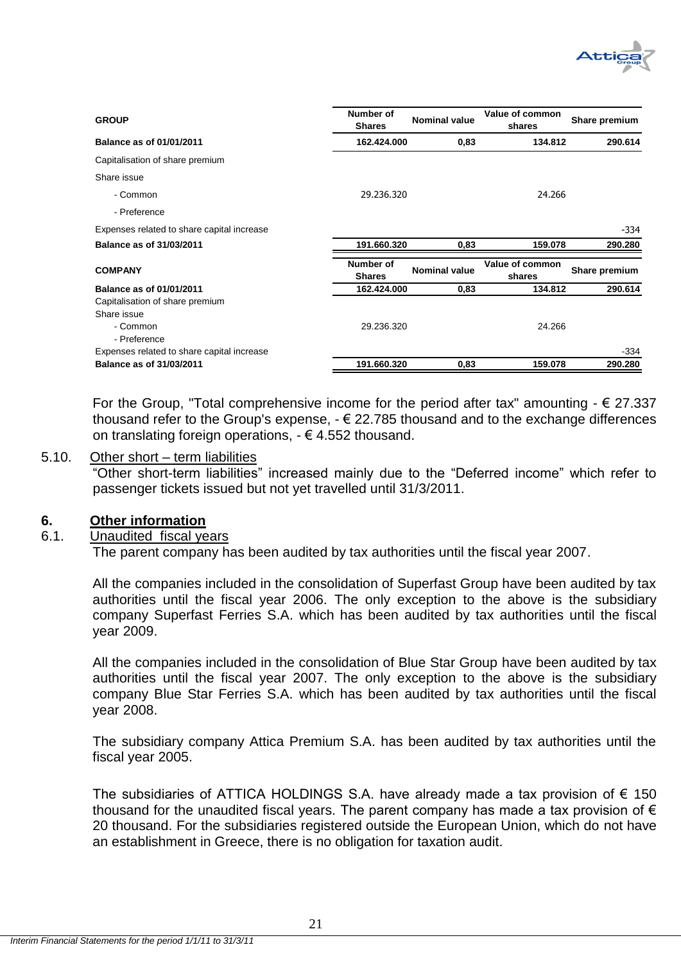

| <b>GROUP</b>                               | Number of<br><b>Shares</b> | <b>Nominal value</b> | Value of common<br>shares | Share premium |
|--------------------------------------------|----------------------------|----------------------|---------------------------|---------------|
| Balance as of 01/01/2011                   | 162.424.000                | 0,83                 | 134.812                   | 290.614       |
| Capitalisation of share premium            |                            |                      |                           |               |
| Share issue                                |                            |                      |                           |               |
| - Common                                   | 29.236.320                 |                      | 24.266                    |               |
| - Preference                               |                            |                      |                           |               |
| Expenses related to share capital increase |                            |                      |                           | -334          |
| Balance as of 31/03/2011                   | 191.660.320                | 0,83                 | 159.078                   | 290.280       |
| <b>COMPANY</b>                             | Number of<br><b>Shares</b> | <b>Nominal value</b> | Value of common<br>shares | Share premium |
| <b>Balance as of 01/01/2011</b>            | 162.424.000                | 0,83                 | 134.812                   | 290.614       |
| Capitalisation of share premium            |                            |                      |                           |               |
| Share issue                                |                            |                      |                           |               |
| - Common                                   | 29.236.320                 |                      | 24.266                    |               |
| - Preference                               |                            |                      |                           |               |
| Expenses related to share capital increase |                            |                      |                           | $-334$        |
| Balance as of 31/03/2011                   | 191.660.320                | 0,83                 | 159.078                   | 290.280       |

For the Group, "Total comprehensive income for the period after tax" amounting  $- \epsilon$  27.337 thousand refer to the Group's expense,  $-\epsilon$  22.785 thousand and to the exchange differences on translating foreign operations,  $-\epsilon$  4.552 thousand.

# <span id="page-21-0"></span>5.10. Other short – term liabilities

"Other short-term liabilities" increased mainly due to the "Deferred income" which refer to passenger tickets issued but not yet travelled until 31/3/2011.

# <span id="page-21-1"></span>**6. Other information**

# <span id="page-21-2"></span>6.1. Unaudited fiscal years

The parent company has been audited by tax authorities until the fiscal year 2007.

All the companies included in the consolidation of Superfast Group have been audited by tax authorities until the fiscal year 2006. The only exception to the above is the subsidiary company Superfast Ferries S.A. which has been audited by tax authorities until the fiscal year 2009.

All the companies included in the consolidation of Blue Star Group have been audited by tax authorities until the fiscal year 2007. The only exception to the above is the subsidiary company Blue Star Ferries S.A. which has been audited by tax authorities until the fiscal year 2008.

The subsidiary company Attica Premium S.A. has been audited by tax authorities until the fiscal year 2005.

The subsidiaries of ATTICA HOLDINGS S.A. have already made a tax provision of  $\epsilon$  150 thousand for the unaudited fiscal years. The parent company has made a tax provision of  $\epsilon$ 20 thousand. For the subsidiaries registered outside the European Union, which do not have an establishment in Greece, there is no obligation for taxation audit.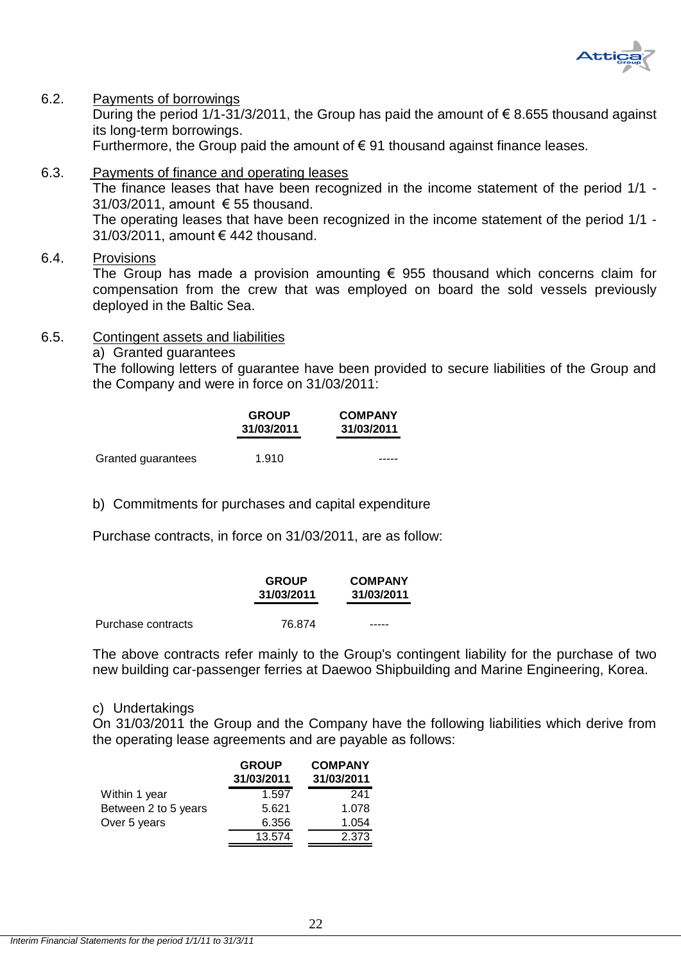

# <span id="page-22-0"></span>6.2. Payments of borrowings

During the period 1/1-31/3/2011, the Group has paid the amount of  $\epsilon$  8.655 thousand against its long-term borrowings.

Furthermore, the Group paid the amount of  $\epsilon$  91 thousand against finance leases.

- <span id="page-22-1"></span>6.3. Payments of finance and operating leases The finance leases that have been recognized in the income statement of the period 1/1 - 31/03/2011, amount € 55 thousand. The operating leases that have been recognized in the income statement of the period 1/1 - 31/03/2011, amount € 442 thousand.
- <span id="page-22-2"></span>6.4. Provisions

The Group has made a provision amounting  $\epsilon$  955 thousand which concerns claim for compensation from the crew that was employed on board the sold vessels previously deployed in the Baltic Sea.

### <span id="page-22-3"></span>6.5. Contingent assets and liabilities

a) Granted guarantees

The following letters of guarantee have been provided to secure liabilities of the Group and the Company and were in force on 31/03/2011:

|                    | <b>GROUP</b><br>31/03/2011 | <b>COMPANY</b><br>31/03/2011 |
|--------------------|----------------------------|------------------------------|
|                    |                            |                              |
| Granted guarantees | 1.910                      |                              |

b) Commitments for purchases and capital expenditure

Purchase contracts, in force on 31/03/2011, are as follow:

|                    | <b>GROUP</b><br>31/03/2011 | <b>COMPANY</b><br>31/03/2011 |
|--------------------|----------------------------|------------------------------|
| Purchase contracts | 76.874                     | -----                        |

The above contracts refer mainly to the Group's contingent liability for the purchase of two new building car-passenger ferries at Daewoo Shipbuilding and Marine Engineering, Korea.

### c) Undertakings

On 31/03/2011 the Group and the Company have the following liabilities which derive from the operating lease agreements and are payable as follows:

|                      | <b>GROUP</b> | <b>COMPANY</b> |
|----------------------|--------------|----------------|
|                      | 31/03/2011   | 31/03/2011     |
| Within 1 year        | 1.597        | 241            |
| Between 2 to 5 years | 5.621        | 1.078          |
| Over 5 years         | 6.356        | 1.054          |
|                      | 13.574       | 2.373          |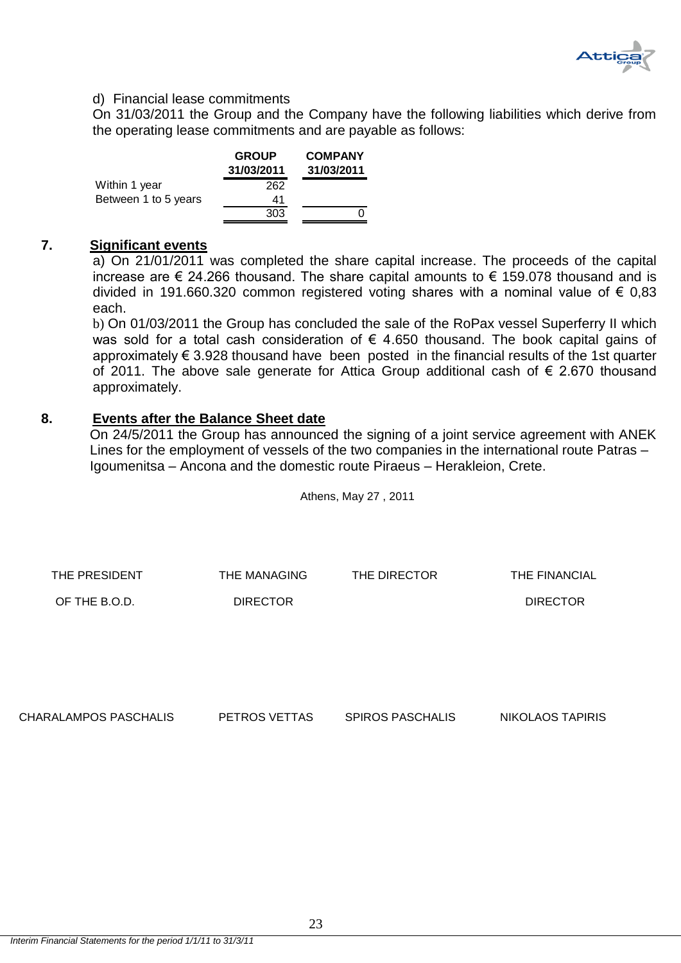

# d) Financial lease commitments

On 31/03/2011 the Group and the Company have the following liabilities which derive from the operating lease commitments and are payable as follows:

|                      | <b>GROUP</b><br>31/03/2011 | <b>COMPANY</b><br>31/03/2011 |
|----------------------|----------------------------|------------------------------|
| Within 1 year        | 262                        |                              |
| Between 1 to 5 years | 41                         |                              |
|                      | 303                        |                              |

# <span id="page-23-0"></span>**7. Significant events**

a) On 21/01/2011 was completed the share capital increase. The proceeds of the capital increase are  $\epsilon$  24.266 thousand. The share capital amounts to  $\epsilon$  159.078 thousand and is divided in 191.660.320 common registered voting shares with a nominal value of  $\epsilon$  0,83 each.

b) On 01/03/2011 the Group has concluded the sale of the RoPax vessel Superferry II which was sold for a total cash consideration of  $\epsilon$  4.650 thousand. The book capital gains of approximately € 3.928 thousand have been posted in the financial results of the 1st quarter of 2011. The above sale generate for Attica Group additional cash of  $\epsilon$  2.670 thousand approximately.

# <span id="page-23-1"></span>**8. Events after the Balance Sheet date**

On 24/5/2011 the Group has announced the signing of a joint service agreement with ANEK Lines for the employment of vessels of the two companies in the international route Patras – Igoumenitsa – Ancona and the domestic route Piraeus – Herakleion, Crete.

Athens, May 27 , 2011

| THE PRESIDENT | THE MANAGING    | THE DIRECTOR | THE FINANCIAL |
|---------------|-----------------|--------------|---------------|
| OF THE B.O.D. | <b>DIRECTOR</b> |              | DIRECTOR      |
|               |                 |              |               |

CHARALAMPOS PASCHALIS PETROS VETTAS SPIROS PASCHALIS NIKOLAOS TAPIRIS